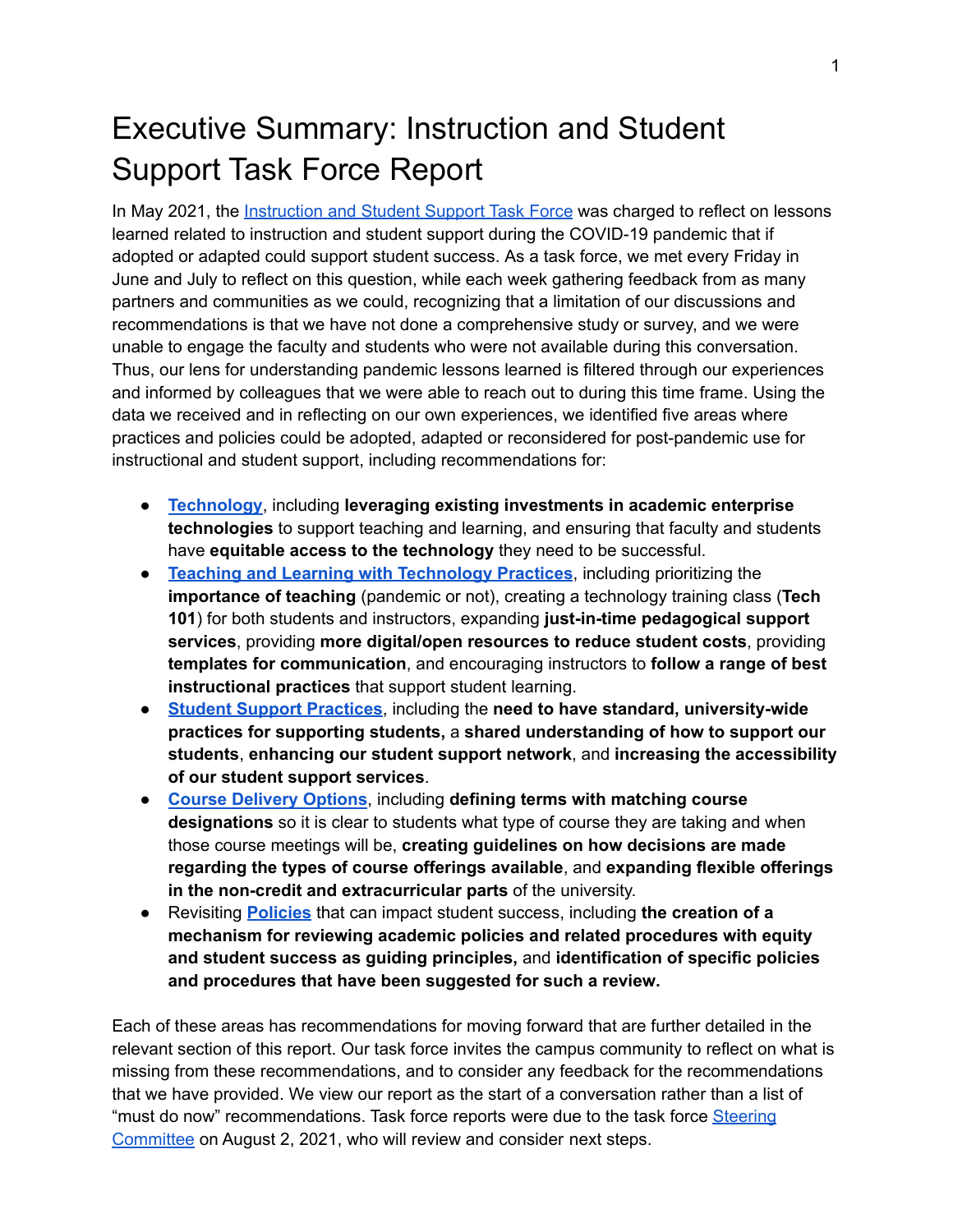# Executive Summary: Instruction and Student Support Task Force Report

In May 2021, the [Instruction](https://committees.provost.ncsu.edu/special-committees-and-task-forces/2021-post-covid-19-innovation-task-forces/) and Student Support Task Force was charged to reflect on lessons learned related to instruction and student support during the COVID-19 pandemic that if adopted or adapted could support student success. As a task force, we met every Friday in June and July to reflect on this question, while each week gathering feedback from as many partners and communities as we could, recognizing that a limitation of our discussions and recommendations is that we have not done a comprehensive study or survey, and we were unable to engage the faculty and students who were not available during this conversation. Thus, our lens for understanding pandemic lessons learned is filtered through our experiences and informed by colleagues that we were able to reach out to during this time frame. Using the data we received and in reflecting on our own experiences, we identified five areas where practices and policies could be adopted, adapted or reconsidered for post-pandemic use for instructional and student support, including recommendations for:

- **[Technology](#page-3-0)**, including **leveraging existing investments in academic enterprise technologies** to support teaching and learning, and ensuring that faculty and students have **equitable access to the technology** they need to be successful.
- **Teaching and Learning with [Technology](#page-10-0) Practices**, including prioritizing the **importance of teaching** (pandemic or not), creating a technology training class (**Tech 101**) for both students and instructors, expanding **just-in-time pedagogical support services**, providing **more digital/open resources to reduce student costs**, providing **templates for communication**, and encouraging instructors to **follow a range of best instructional practices** that support student learning.
- **Student Support [Practices](#page-13-0)**, including the **need to have standard, university-wide practices for supporting students,** a **shared understanding of how to support our students**, **enhancing our student support network**, and **increasing the accessibility of our student support services**.
- **Course [Delivery](#page-18-0) Options**, including **defining terms with matching course designations** so it is clear to students what type of course they are taking and when those course meetings will be, **creating guidelines on how decisions are made regarding the types of course offerings available**, and **expanding flexible offerings in the non-credit and extracurricular parts** of the university.
- Revisiting **[Policies](#page-22-0)** that can impact student success, including **the creation of a mechanism for reviewing academic policies and related procedures with equity and student success as guiding principles,** and **identification of specific policies and procedures that have been suggested for such a review.**

Each of these areas has recommendations for moving forward that are further detailed in the relevant section of this report. Our task force invites the campus community to reflect on what is missing from these recommendations, and to consider any feedback for the recommendations that we have provided. We view our report as the start of a conversation rather than a list of "must do now" recommendations. Task force reports were due to the task force [Steering](https://committees.provost.ncsu.edu/special-committees-and-task-forces/2021-post-covid-19-innovation-task-forces/) [Committee](https://committees.provost.ncsu.edu/special-committees-and-task-forces/2021-post-covid-19-innovation-task-forces/) on August 2, 2021, who will review and consider next steps.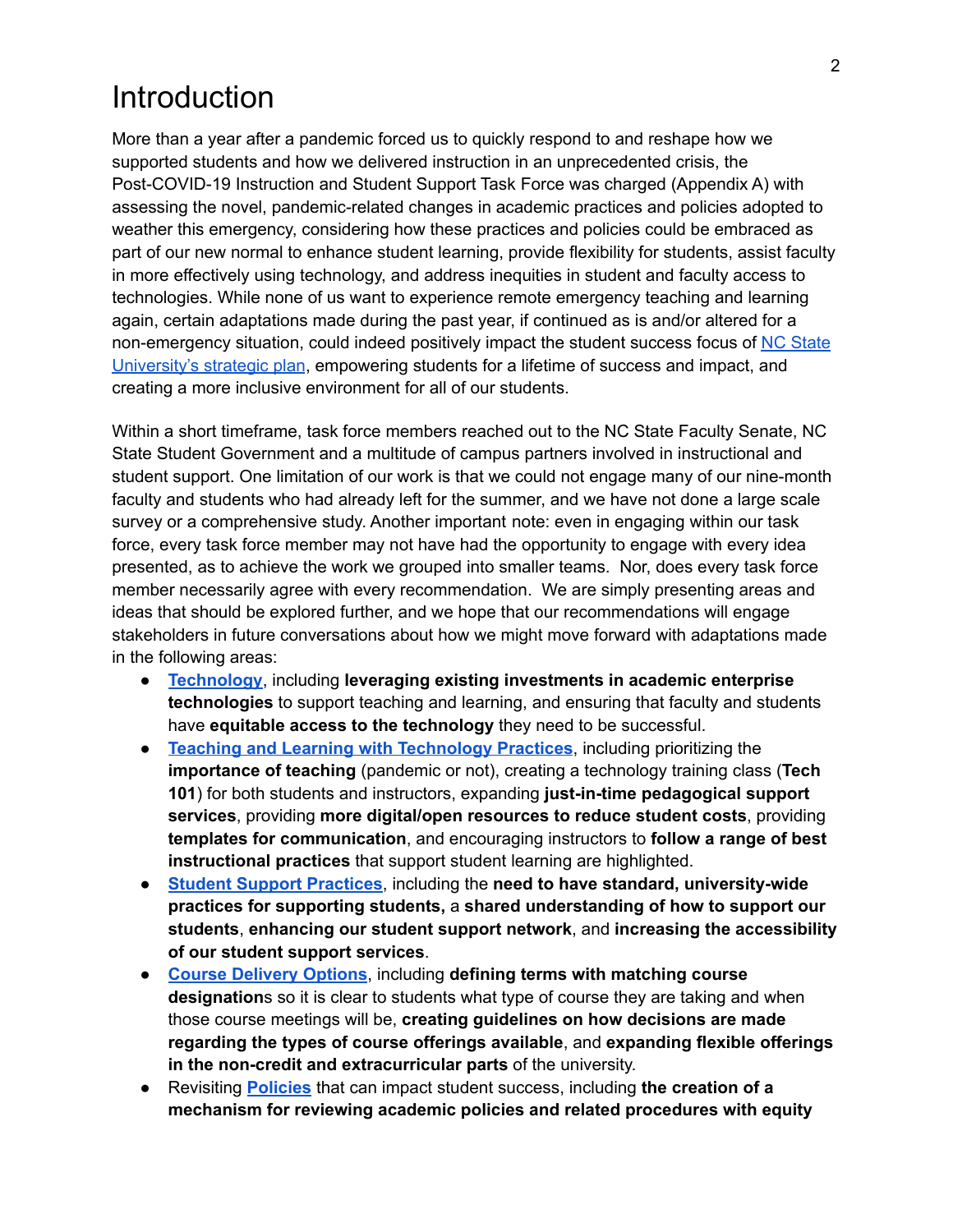# Introduction

More than a year after a pandemic forced us to quickly respond to and reshape how we supported students and how we delivered instruction in an unprecedented crisis, the Post-COVID-19 Instruction and Student Support Task Force was charged (Appendix A) with assessing the novel, pandemic-related changes in academic practices and policies adopted to weather this emergency, considering how these practices and policies could be embraced as part of our new normal to enhance student learning, provide flexibility for students, assist faculty in more effectively using technology, and address inequities in student and faculty access to technologies. While none of us want to experience remote emergency teaching and learning again, certain adaptations made during the past year, if continued as is and/or altered for a non-emergency situation, could indeed positively impact the student success focus of NC [State](https://strategicplan.ncsu.edu/current-plan/wolfpack-2030-powering-the-extraordinary/#goals) [University's](https://strategicplan.ncsu.edu/current-plan/wolfpack-2030-powering-the-extraordinary/#goals) strategic plan, empowering students for a lifetime of success and impact, and creating a more inclusive environment for all of our students.

Within a short timeframe, task force members reached out to the NC State Faculty Senate, NC State Student Government and a multitude of campus partners involved in instructional and student support. One limitation of our work is that we could not engage many of our nine-month faculty and students who had already left for the summer, and we have not done a large scale survey or a comprehensive study. Another important note: even in engaging within our task force, every task force member may not have had the opportunity to engage with every idea presented, as to achieve the work we grouped into smaller teams. Nor, does every task force member necessarily agree with every recommendation. We are simply presenting areas and ideas that should be explored further, and we hope that our recommendations will engage stakeholders in future conversations about how we might move forward with adaptations made in the following areas:

- **[Technology](#page-3-0)**, including **leveraging existing investments in academic enterprise technologies** to support teaching and learning, and ensuring that faculty and students have **equitable access to the technology** they need to be successful.
- **Teaching and Learning with [Technology](#page-10-0) Practices**, including prioritizing the **importance of teaching** (pandemic or not), creating a technology training class (**Tech 101**) for both students and instructors, expanding **just-in-time pedagogical support services**, providing **more digital/open resources to reduce student costs**, providing **templates for communication**, and encouraging instructors to **follow a range of best instructional practices** that support student learning are highlighted.
- **Student Support [Practices](#page-13-0)**, including the **need to have standard, university-wide practices for supporting students,** a **shared understanding of how to support our students**, **enhancing our student support network**, and **increasing the accessibility of our student support services**.
- **Course [Delivery](#page-18-0) Options**, including **defining terms with matching course designation**s so it is clear to students what type of course they are taking and when those course meetings will be, **creating guidelines on how decisions are made regarding the types of course offerings available**, and **expanding flexible offerings in the non-credit and extracurricular parts** of the university.
- Revisiting **[Policies](#page-22-0)** that can impact student success, including **the creation of a mechanism for reviewing academic policies and related procedures with equity**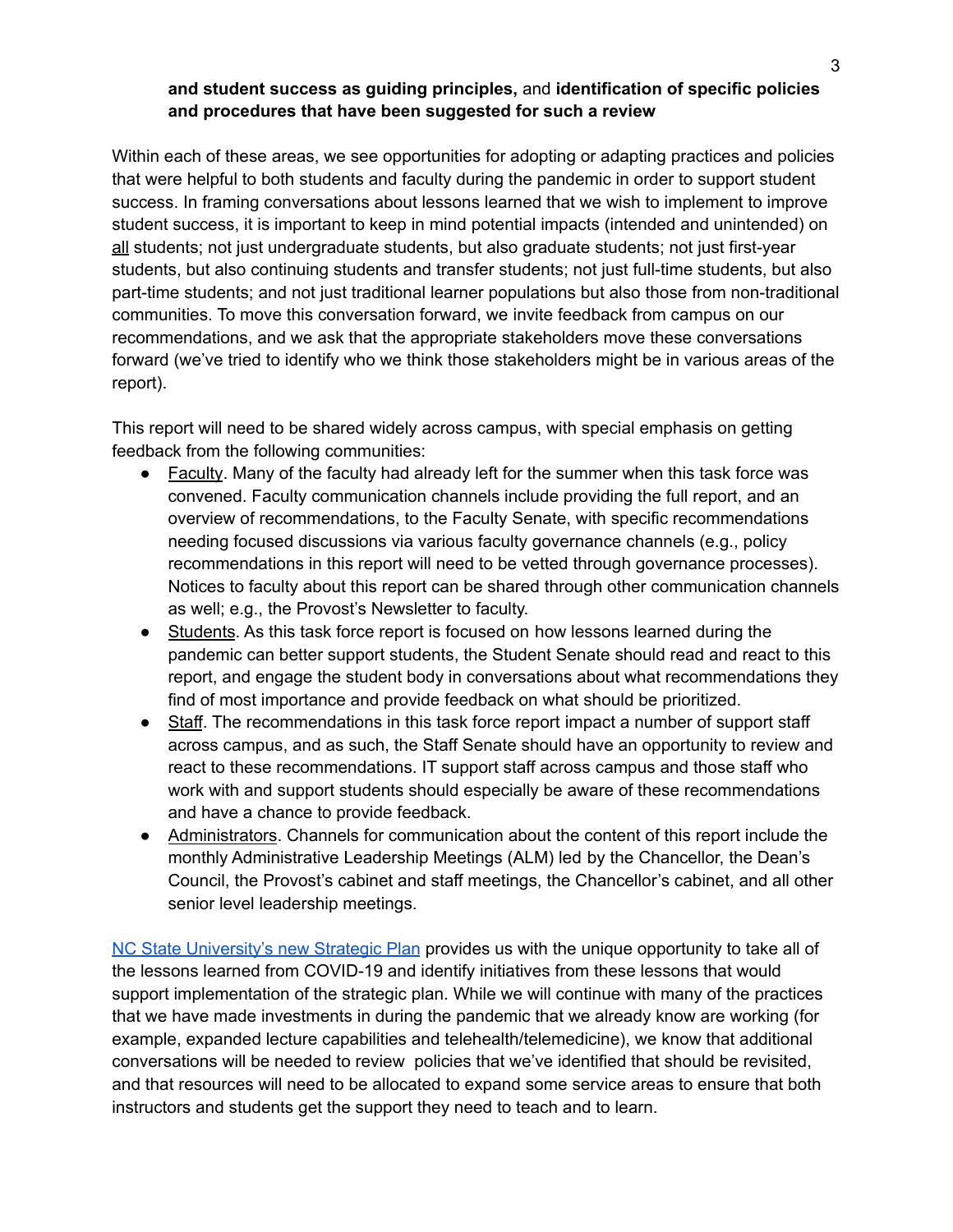#### **and student success as guiding principles,** and **identification of specific policies and procedures that have been suggested for such a review**

Within each of these areas, we see opportunities for adopting or adapting practices and policies that were helpful to both students and faculty during the pandemic in order to support student success. In framing conversations about lessons learned that we wish to implement to improve student success, it is important to keep in mind potential impacts (intended and unintended) on all students; not just undergraduate students, but also graduate students; not just first-year students, but also continuing students and transfer students; not just full-time students, but also part-time students; and not just traditional learner populations but also those from non-traditional communities. To move this conversation forward, we invite feedback from campus on our recommendations, and we ask that the appropriate stakeholders move these conversations forward (we've tried to identify who we think those stakeholders might be in various areas of the report).

This report will need to be shared widely across campus, with special emphasis on getting feedback from the following communities:

- Faculty. Many of the faculty had already left for the summer when this task force was convened. Faculty communication channels include providing the full report, and an overview of recommendations, to the Faculty Senate, with specific recommendations needing focused discussions via various faculty governance channels (e.g., policy recommendations in this report will need to be vetted through governance processes). Notices to faculty about this report can be shared through other communication channels as well; e.g., the Provost's Newsletter to faculty.
- Students. As this task force report is focused on how lessons learned during the pandemic can better support students, the Student Senate should read and react to this report, and engage the student body in conversations about what recommendations they find of most importance and provide feedback on what should be prioritized.
- Staff. The recommendations in this task force report impact a number of support staff across campus, and as such, the Staff Senate should have an opportunity to review and react to these recommendations. IT support staff across campus and those staff who work with and support students should especially be aware of these recommendations and have a chance to provide feedback.
- Administrators. Channels for communication about the content of this report include the monthly Administrative Leadership Meetings (ALM) led by the Chancellor, the Dean's Council, the Provost's cabinet and staff meetings, the Chancellor's cabinet, and all other senior level leadership meetings.

NC State [University's](https://strategicplan.ncsu.edu/) new Strategic Plan provides us with the unique opportunity to take all of the lessons learned from COVID-19 and identify initiatives from these lessons that would support implementation of the strategic plan. While we will continue with many of the practices that we have made investments in during the pandemic that we already know are working (for example, expanded lecture capabilities and telehealth/telemedicine), we know that additional conversations will be needed to review policies that we've identified that should be revisited, and that resources will need to be allocated to expand some service areas to ensure that both instructors and students get the support they need to teach and to learn.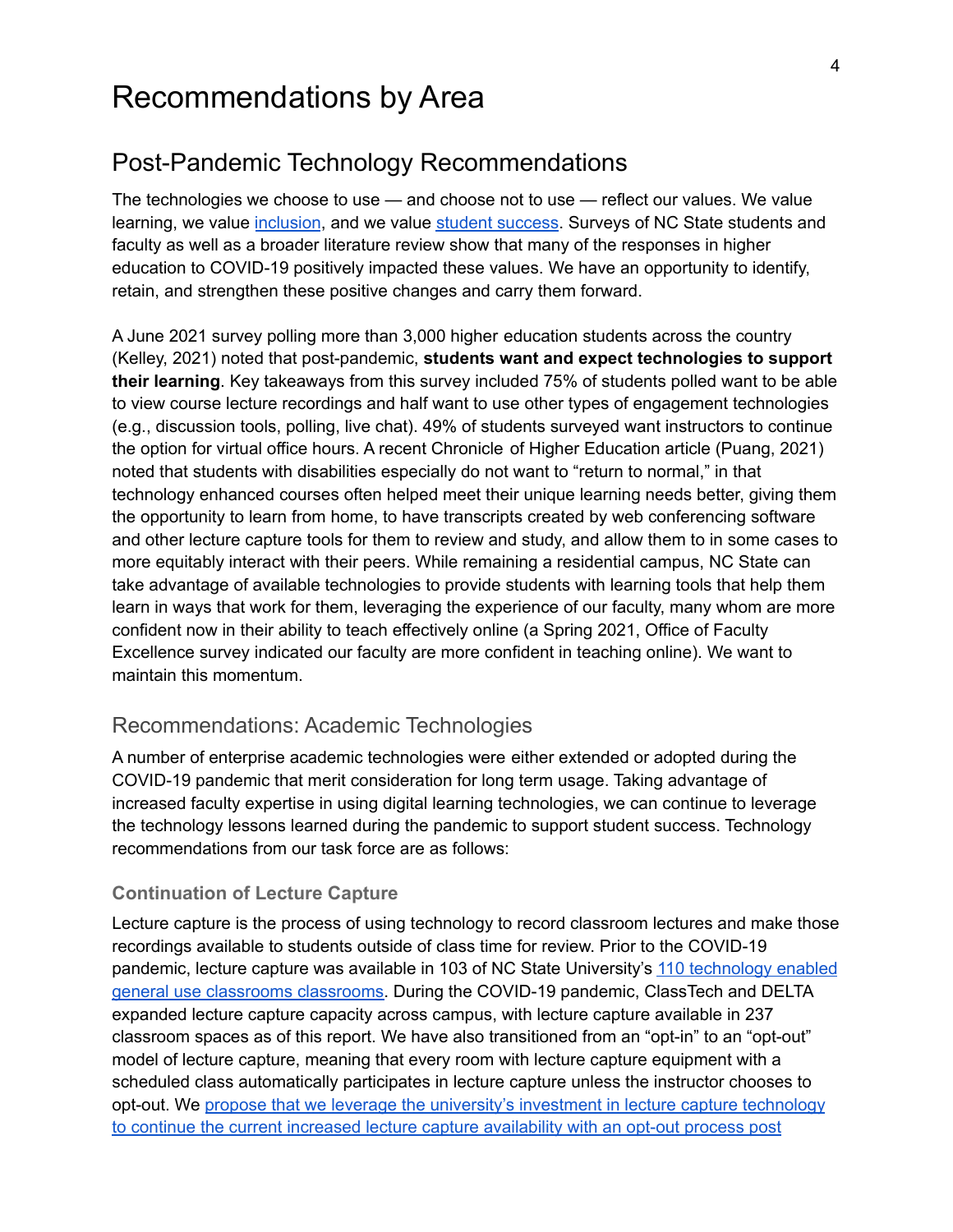# Recommendations by Area

## <span id="page-3-0"></span>Post-Pandemic Technology Recommendations

The technologies we choose to use — and choose not to use — reflect our values. We value learning, we value [inclusion](https://strategicplan.ncsu.edu/current-plan/wolfpack-2030-powering-the-extraordinary/#goal4), and we value student [success](https://strategicplan.ncsu.edu/current-plan/wolfpack-2030-powering-the-extraordinary/#goal1). Surveys of NC State students and faculty as well as a broader literature review show that many of the responses in higher education to COVID-19 positively impacted these values. We have an opportunity to identify, retain, and strengthen these positive changes and carry them forward.

A June 2021 survey polling more than 3,000 higher education students across the country (Kelley, 2021) noted that post-pandemic, **students want and expect technologies to support their learning**. Key takeaways from this survey included 75% of students polled want to be able to view course lecture recordings and half want to use other types of engagement technologies (e.g., discussion tools, polling, live chat). 49% of students surveyed want instructors to continue the option for virtual office hours. A recent Chronicle of Higher Education article (Puang, 2021) noted that students with disabilities especially do not want to "return to normal," in that technology enhanced courses often helped meet their unique learning needs better, giving them the opportunity to learn from home, to have transcripts created by web conferencing software and other lecture capture tools for them to review and study, and allow them to in some cases to more equitably interact with their peers. While remaining a residential campus, NC State can take advantage of available technologies to provide students with learning tools that help them learn in ways that work for them, leveraging the experience of our faculty, many whom are more confident now in their ability to teach effectively online (a Spring 2021, Office of Faculty Excellence survey indicated our faculty are more confident in teaching online). We want to maintain this momentum.

## Recommendations: Academic Technologies

A number of enterprise academic technologies were either extended or adopted during the COVID-19 pandemic that merit consideration for long term usage. Taking advantage of increased faculty expertise in using digital learning technologies, we can continue to leverage the technology lessons learned during the pandemic to support student success. Technology recommendations from our task force are as follows:

#### **Continuation of Lecture Capture**

Lecture capture is the process of using technology to record classroom lectures and make those recordings available to students outside of class time for review. Prior to the COVID-19 pandemic, lecture capture was available in 103 of NC State University's 110 [technology](https://docs.google.com/spreadsheets/d/1PqOrCRVybBRVzg0o9cd4IL_0OChFKZcqPUnxSED4Zv8/edit?usp=sharing) enabled general use classrooms [classrooms.](https://docs.google.com/spreadsheets/d/1PqOrCRVybBRVzg0o9cd4IL_0OChFKZcqPUnxSED4Zv8/edit?usp=sharing) During the COVID-19 pandemic, ClassTech and DELTA expanded lecture capture capacity across campus, with lecture capture available in 237 classroom spaces as of this report. We have also transitioned from an "opt-in" to an "opt-out" model of lecture capture, meaning that every room with lecture capture equipment with a scheduled class automatically participates in lecture capture unless the instructor chooses to opt-out. We propose that we leverage the [university's](https://docs.google.com/document/d/1UOboMtEtKBCX5UR8k9oWpzkuFeuvnoPhfXLQAgpGXTU/edit?usp=sharing) investment in lecture capture technology to continue the current increased lecture capture [availability](https://docs.google.com/document/d/1UOboMtEtKBCX5UR8k9oWpzkuFeuvnoPhfXLQAgpGXTU/edit?usp=sharing) with an opt-out process post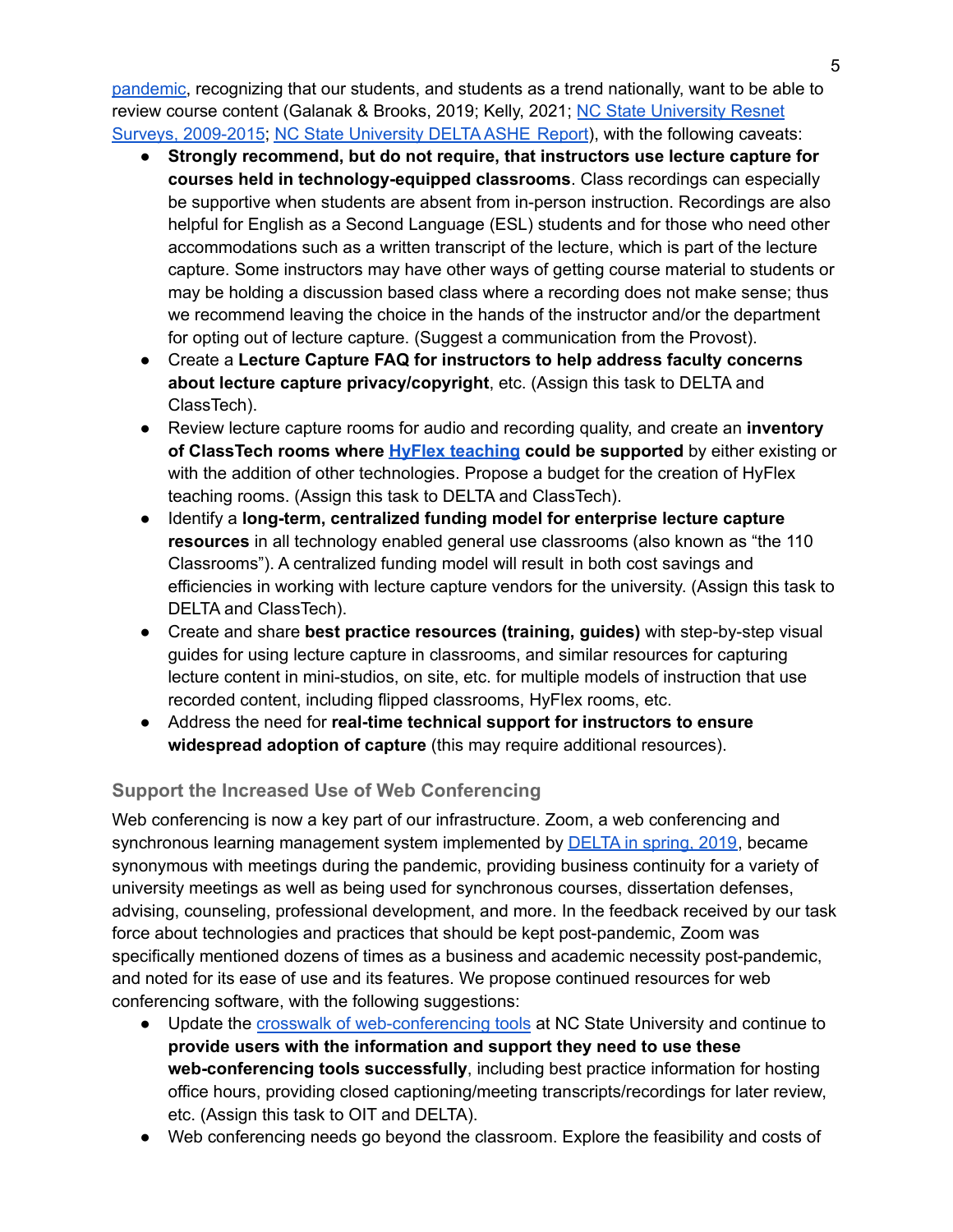[pandemic,](https://docs.google.com/document/d/1UOboMtEtKBCX5UR8k9oWpzkuFeuvnoPhfXLQAgpGXTU/edit?usp=sharing) recognizing that our students, and students as a trend nationally, want to be able to review course content (Galanak & Brooks, 2019; Kelly, 2021; NC State [University](https://docs.google.com/spreadsheets/d/1pZHcJ5YLi-461qSAQy8RoPPO1xP33GATBc6iPKoR2fc/edit?usp=sharing) Resnet Surveys, [2009-2015](https://docs.google.com/spreadsheets/d/1pZHcJ5YLi-461qSAQy8RoPPO1xP33GATBc6iPKoR2fc/edit?usp=sharing); NC State [University](https://docs.google.com/document/d/1dnqTcaqDXkqmB6tECyz4lINLzC-m1kTtXPmB5aux0qw/edit?usp=sharing) DELTA ASHE Report), with the following caveats:

- **Strongly recommend, but do not require, that instructors use lecture capture for courses held in technology-equipped classrooms**. Class recordings can especially be supportive when students are absent from in-person instruction. Recordings are also helpful for English as a Second Language (ESL) students and for those who need other accommodations such as a written transcript of the lecture, which is part of the lecture capture. Some instructors may have other ways of getting course material to students or may be holding a discussion based class where a recording does not make sense; thus we recommend leaving the choice in the hands of the instructor and/or the department for opting out of lecture capture. (Suggest a communication from the Provost).
- Create a **Lecture Capture FAQ for instructors to help address faculty concerns about lecture capture privacy/copyright**, etc. (Assign this task to DELTA and ClassTech).
- Review lecture capture rooms for audio and recording quality, and create an **inventory of ClassTech rooms where HyFlex [teaching](https://ofdblog.wordpress.ncsu.edu/2020/08/20/the-hyflex-course-an-alternative-for-teaching-in-difficult-times/) could be supported** by either existing or with the addition of other technologies. Propose a budget for the creation of HyFlex teaching rooms. (Assign this task to DELTA and ClassTech).
- Identify a **long-term, centralized funding model for enterprise lecture capture resources** in all technology enabled general use classrooms (also known as "the 110 Classrooms"). A centralized funding model will result in both cost savings and efficiencies in working with lecture capture vendors for the university. (Assign this task to DELTA and ClassTech).
- Create and share **best practice resources (training, guides)** with step-by-step visual guides for using lecture capture in classrooms, and similar resources for capturing lecture content in mini-studios, on site, etc. for multiple models of instruction that use recorded content, including flipped classrooms, HyFlex rooms, etc.
- Address the need for **real-time technical support for instructors to ensure widespread adoption of capture** (this may require additional resources).

### **Support the Increased Use of Web Conferencing**

Web conferencing is now a key part of our infrastructure. Zoom, a web conferencing and synchronous learning management system implemented by **[DELTA](https://delta.ncsu.edu/news/2019/03/04/zoom-new-enterprise-video-communications-tool-goes-above-and-beyond/)** in spring, 2019, became synonymous with meetings during the pandemic, providing business continuity for a variety of university meetings as well as being used for synchronous courses, dissertation defenses, advising, counseling, professional development, and more. In the feedback received by our task force about technologies and practices that should be kept post-pandemic, Zoom was specifically mentioned dozens of times as a business and academic necessity post-pandemic, and noted for its ease of use and its features. We propose continued resources for web conferencing software, with the following suggestions:

- Update the crosswalk of [web-conferencing](https://oit.ncsu.edu/campus-it/phone-services/audio-video-conferencing/web-conferencing-services/) tools at NC State University and continue to **provide users with the information and support they need to use these web-conferencing tools successfully**, including best practice information for hosting office hours, providing closed captioning/meeting transcripts/recordings for later review, etc. (Assign this task to OIT and DELTA).
- Web conferencing needs go beyond the classroom. Explore the feasibility and costs of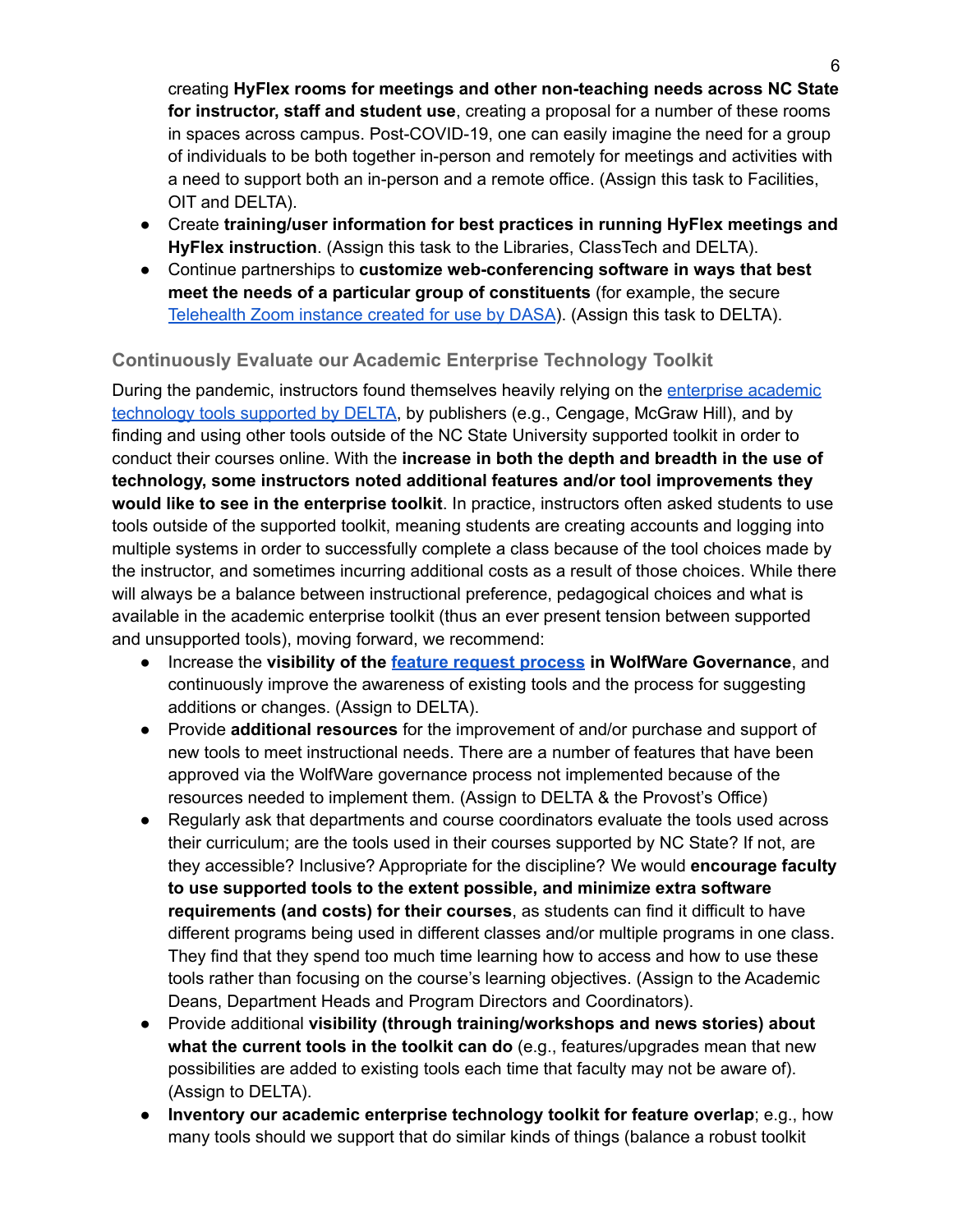creating **HyFlex rooms for meetings and other non-teaching needs across NC State for instructor, staff and student use**, creating a proposal for a number of these rooms in spaces across campus. Post-COVID-19, one can easily imagine the need for a group of individuals to be both together in-person and remotely for meetings and activities with a need to support both an in-person and a remote office. (Assign this task to Facilities, OIT and DELTA).

- Create **training/user information for best practices in running HyFlex meetings and HyFlex instruction**. (Assign this task to the Libraries, ClassTech and DELTA).
- Continue partnerships to **customize web-conferencing software in ways that best meet the needs of a particular group of constituents** (for example, the secure [Telehealth](https://news.dasa.ncsu.edu/delta-and-dasa-collaborate-to-deliver-secure-telehealth-options-at-nc-state/) Zoom instance created for use by DASA). (Assign this task to DELTA).

#### **Continuously Evaluate our Academic Enterprise Technology Toolkit**

During the pandemic, instructors found themselves heavily relying on the [enterprise](https://delta.ncsu.edu/learning-technology/instructional-tools/) academic [technology](https://delta.ncsu.edu/learning-technology/instructional-tools/) tools supported by DELTA, by publishers (e.g., Cengage, McGraw Hill), and by finding and using other tools outside of the NC State University supported toolkit in order to conduct their courses online. With the **increase in both the depth and breadth in the use of technology, some instructors noted additional features and/or tool improvements they would like to see in the enterprise toolkit**. In practice, instructors often asked students to use tools outside of the supported toolkit, meaning students are creating accounts and logging into multiple systems in order to successfully complete a class because of the tool choices made by the instructor, and sometimes incurring additional costs as a result of those choices. While there will always be a balance between instructional preference, pedagogical choices and what is available in the academic enterprise toolkit (thus an ever present tension between supported and unsupported tools), moving forward, we recommend:

- Increase the **visibility of the feature request [process](https://docs.google.com/document/d/12VOjxGtrop6XdEWWBcTfCY0Ly9PlqMAY6Dj3Z3fRhYk/edit?usp=sharing) in WolfWare Governance**, and continuously improve the awareness of existing tools and the process for suggesting additions or changes. (Assign to DELTA).
- Provide **additional resources** for the improvement of and/or purchase and support of new tools to meet instructional needs. There are a number of features that have been approved via the WolfWare governance process not implemented because of the resources needed to implement them. (Assign to DELTA & the Provost's Office)
- Regularly ask that departments and course coordinators evaluate the tools used across their curriculum; are the tools used in their courses supported by NC State? If not, are they accessible? Inclusive? Appropriate for the discipline? We would **encourage faculty to use supported tools to the extent possible, and minimize extra software requirements (and costs) for their courses**, as students can find it difficult to have different programs being used in different classes and/or multiple programs in one class. They find that they spend too much time learning how to access and how to use these tools rather than focusing on the course's learning objectives. (Assign to the Academic Deans, Department Heads and Program Directors and Coordinators).
- Provide additional **visibility (through training/workshops and news stories) about what the current tools in the toolkit can do** (e.g., features/upgrades mean that new possibilities are added to existing tools each time that faculty may not be aware of). (Assign to DELTA).
- **Inventory our academic enterprise technology toolkit for feature overlap**; e.g., how many tools should we support that do similar kinds of things (balance a robust toolkit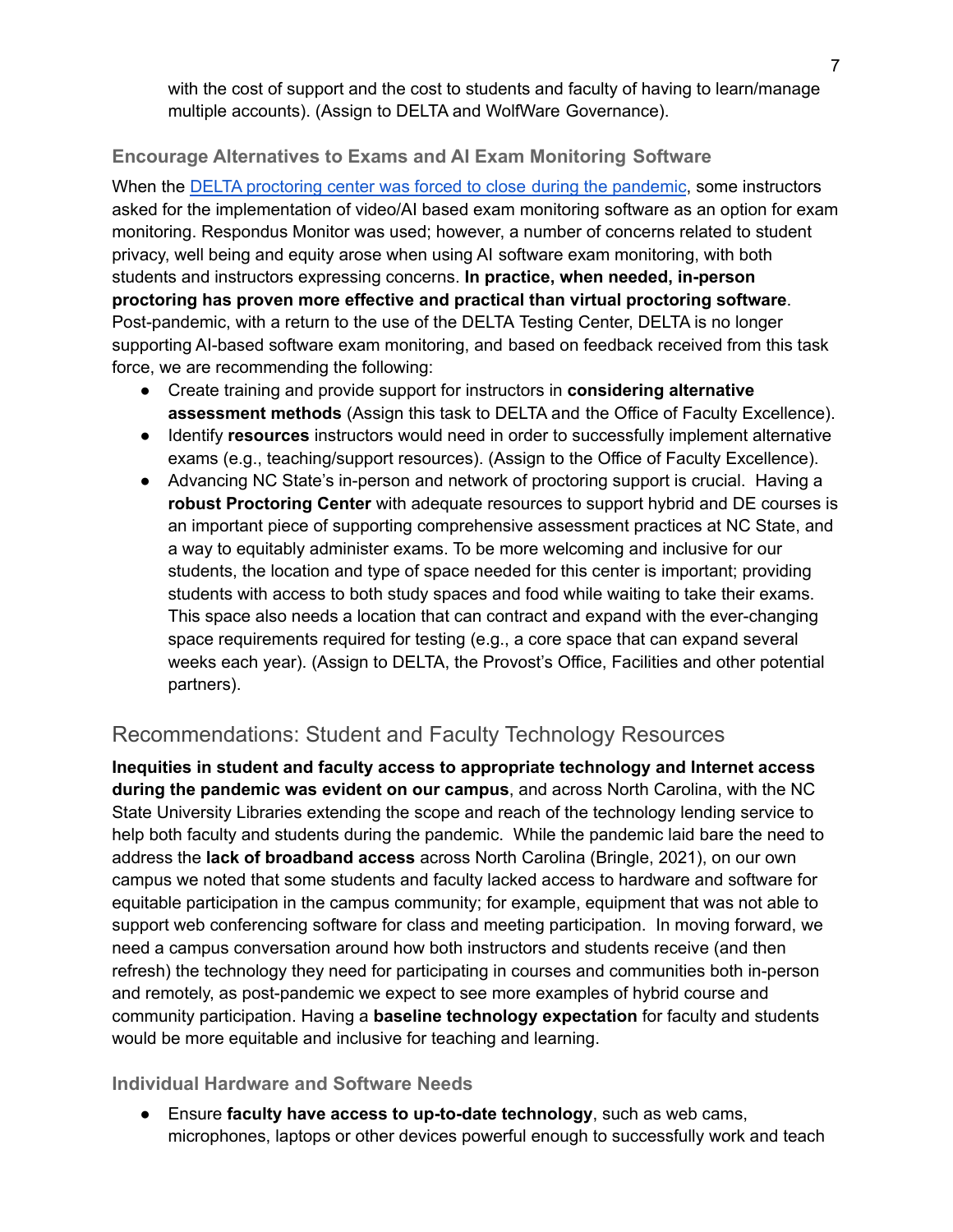with the cost of support and the cost to students and faculty of having to learn/manage multiple accounts). (Assign to DELTA and WolfWare Governance).

#### **Encourage Alternatives to Exams and AI Exam Monitoring Software**

When the DELTA [proctoring](https://delta.ncsu.edu/news/2020/05/20/delta-testing-services-reflects-on-a-unique-final-exam-period/) center was forced to close during the pandemic, some instructors asked for the implementation of video/AI based exam monitoring software as an option for exam monitoring. Respondus Monitor was used; however, a number of concerns related to student privacy, well being and equity arose when using AI software exam monitoring, with both students and instructors expressing concerns. **In practice, when needed, in-person proctoring has proven more effective and practical than virtual proctoring software**. Post-pandemic, with a return to the use of the DELTA Testing Center, DELTA is no longer supporting AI-based software exam monitoring, and based on feedback received from this task force, we are recommending the following:

- Create training and provide support for instructors in **considering alternative assessment methods** (Assign this task to DELTA and the Office of Faculty Excellence).
- Identify **resources** instructors would need in order to successfully implement alternative exams (e.g., teaching/support resources). (Assign to the Office of Faculty Excellence).
- Advancing NC State's in-person and network of proctoring support is crucial. Having a **robust Proctoring Center** with adequate resources to support hybrid and DE courses is an important piece of supporting comprehensive assessment practices at NC State, and a way to equitably administer exams. To be more welcoming and inclusive for our students, the location and type of space needed for this center is important; providing students with access to both study spaces and food while waiting to take their exams. This space also needs a location that can contract and expand with the ever-changing space requirements required for testing (e.g., a core space that can expand several weeks each year). (Assign to DELTA, the Provost's Office, Facilities and other potential partners).

## Recommendations: Student and Faculty Technology Resources

**Inequities in student and faculty access to appropriate technology and Internet access during the pandemic was evident on our campus**, and across North Carolina, with the NC State University Libraries extending the scope and reach of the technology lending service to help both faculty and students during the pandemic. While the pandemic laid bare the need to address the **lack of broadband access** across North Carolina (Bringle, 2021), on our own campus we noted that some students and faculty lacked access to hardware and software for equitable participation in the campus community; for example, equipment that was not able to support web conferencing software for class and meeting participation. In moving forward, we need a campus conversation around how both instructors and students receive (and then refresh) the technology they need for participating in courses and communities both in-person and remotely, as post-pandemic we expect to see more examples of hybrid course and community participation. Having a **baseline technology expectation** for faculty and students would be more equitable and inclusive for teaching and learning.

#### **Individual Hardware and Software Needs**

● Ensure **faculty have access to up-to-date technology**, such as web cams, microphones, laptops or other devices powerful enough to successfully work and teach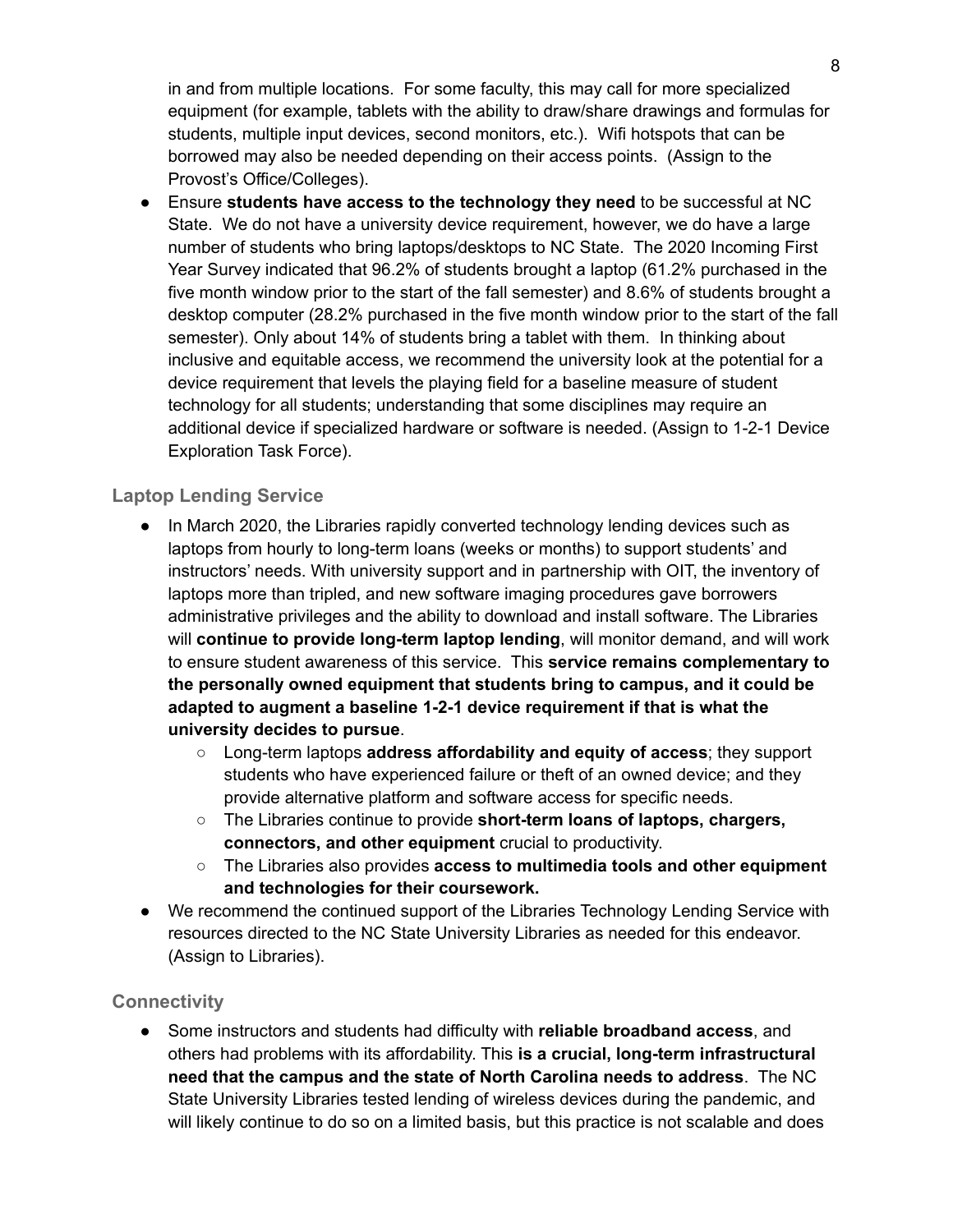in and from multiple locations. For some faculty, this may call for more specialized equipment (for example, tablets with the ability to draw/share drawings and formulas for students, multiple input devices, second monitors, etc.). Wifi hotspots that can be borrowed may also be needed depending on their access points. (Assign to the Provost's Office/Colleges).

**●** Ensure **students have access to the technology they need** to be successful at NC State. We do not have a university device requirement, however, we do have a large number of students who bring laptops/desktops to NC State. The 2020 Incoming First Year Survey indicated that 96.2% of students brought a laptop (61.2% purchased in the five month window prior to the start of the fall semester) and 8.6% of students brought a desktop computer (28.2% purchased in the five month window prior to the start of the fall semester). Only about 14% of students bring a tablet with them. In thinking about inclusive and equitable access, we recommend the university look at the potential for a device requirement that levels the playing field for a baseline measure of student technology for all students; understanding that some disciplines may require an additional device if specialized hardware or software is needed. (Assign to 1-2-1 Device Exploration Task Force).

#### **Laptop Lending Service**

- In March 2020, the Libraries rapidly converted technology lending devices such as laptops from hourly to long-term loans (weeks or months) to support students' and instructors' needs. With university support and in partnership with OIT, the inventory of laptops more than tripled, and new software imaging procedures gave borrowers administrative privileges and the ability to download and install software. The Libraries will **continue to provide long-term laptop lending**, will monitor demand, and will work to ensure student awareness of this service. This **service remains complementary to the personally owned equipment that students bring to campus, and it could be adapted to augment a baseline 1-2-1 device requirement if that is what the university decides to pursue**.
	- Long-term laptops **address affordability and equity of access**; they support students who have experienced failure or theft of an owned device; and they provide alternative platform and software access for specific needs.
	- The Libraries continue to provide **short-term loans of laptops, chargers, connectors, and other equipment** crucial to productivity.
	- The Libraries also provides **access to multimedia tools and other equipment and technologies for their coursework.**
- We recommend the continued support of the Libraries Technology Lending Service with resources directed to the NC State University Libraries as needed for this endeavor. (Assign to Libraries).

#### **Connectivity**

● Some instructors and students had difficulty with **reliable broadband access**, and others had problems with its affordability. This **is a crucial, long-term infrastructural need that the campus and the state of North Carolina needs to address**. The NC State University Libraries tested lending of wireless devices during the pandemic, and will likely continue to do so on a limited basis, but this practice is not scalable and does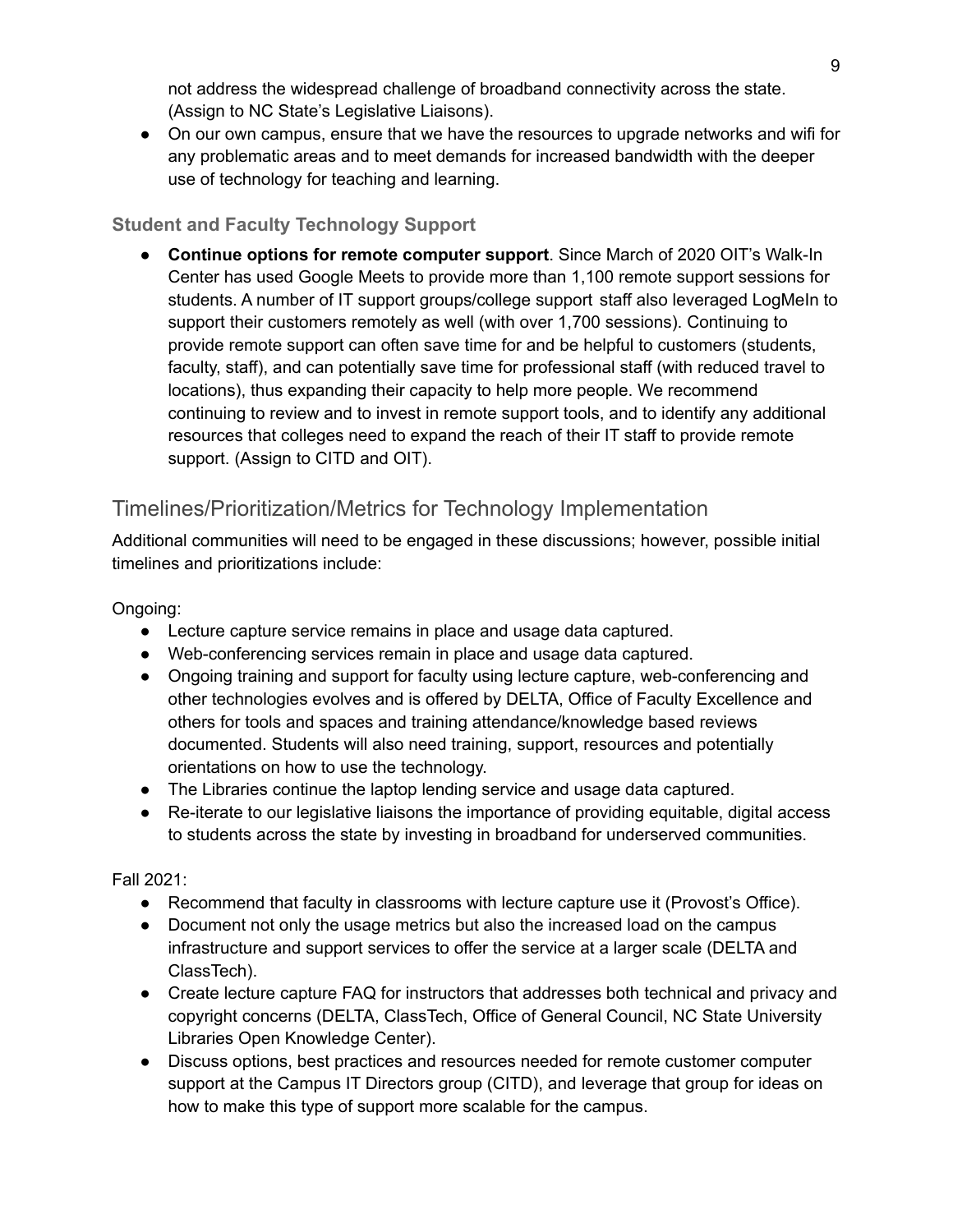not address the widespread challenge of broadband connectivity across the state. (Assign to NC State's Legislative Liaisons).

• On our own campus, ensure that we have the resources to upgrade networks and wifi for any problematic areas and to meet demands for increased bandwidth with the deeper use of technology for teaching and learning.

## **Student and Faculty Technology Support**

● **Continue options for remote computer support**. Since March of 2020 OIT's Walk-In Center has used Google Meets to provide more than 1,100 remote support sessions for students. A number of IT support groups/college support staff also leveraged LogMeIn to support their customers remotely as well (with over 1,700 sessions). Continuing to provide remote support can often save time for and be helpful to customers (students, faculty, staff), and can potentially save time for professional staff (with reduced travel to locations), thus expanding their capacity to help more people. We recommend continuing to review and to invest in remote support tools, and to identify any additional resources that colleges need to expand the reach of their IT staff to provide remote support. (Assign to CITD and OIT).

## Timelines/Prioritization/Metrics for Technology Implementation

Additional communities will need to be engaged in these discussions; however, possible initial timelines and prioritizations include:

#### Ongoing:

- Lecture capture service remains in place and usage data captured.
- Web-conferencing services remain in place and usage data captured.
- Ongoing training and support for faculty using lecture capture, web-conferencing and other technologies evolves and is offered by DELTA, Office of Faculty Excellence and others for tools and spaces and training attendance/knowledge based reviews documented. Students will also need training, support, resources and potentially orientations on how to use the technology.
- The Libraries continue the laptop lending service and usage data captured.
- Re-iterate to our legislative liaisons the importance of providing equitable, digital access to students across the state by investing in broadband for underserved communities.

Fall 2021:

- Recommend that faculty in classrooms with lecture capture use it (Provost's Office).
- Document not only the usage metrics but also the increased load on the campus infrastructure and support services to offer the service at a larger scale (DELTA and ClassTech).
- Create lecture capture FAQ for instructors that addresses both technical and privacy and copyright concerns (DELTA, ClassTech, Office of General Council, NC State University Libraries Open Knowledge Center).
- Discuss options, best practices and resources needed for remote customer computer support at the Campus IT Directors group (CITD), and leverage that group for ideas on how to make this type of support more scalable for the campus.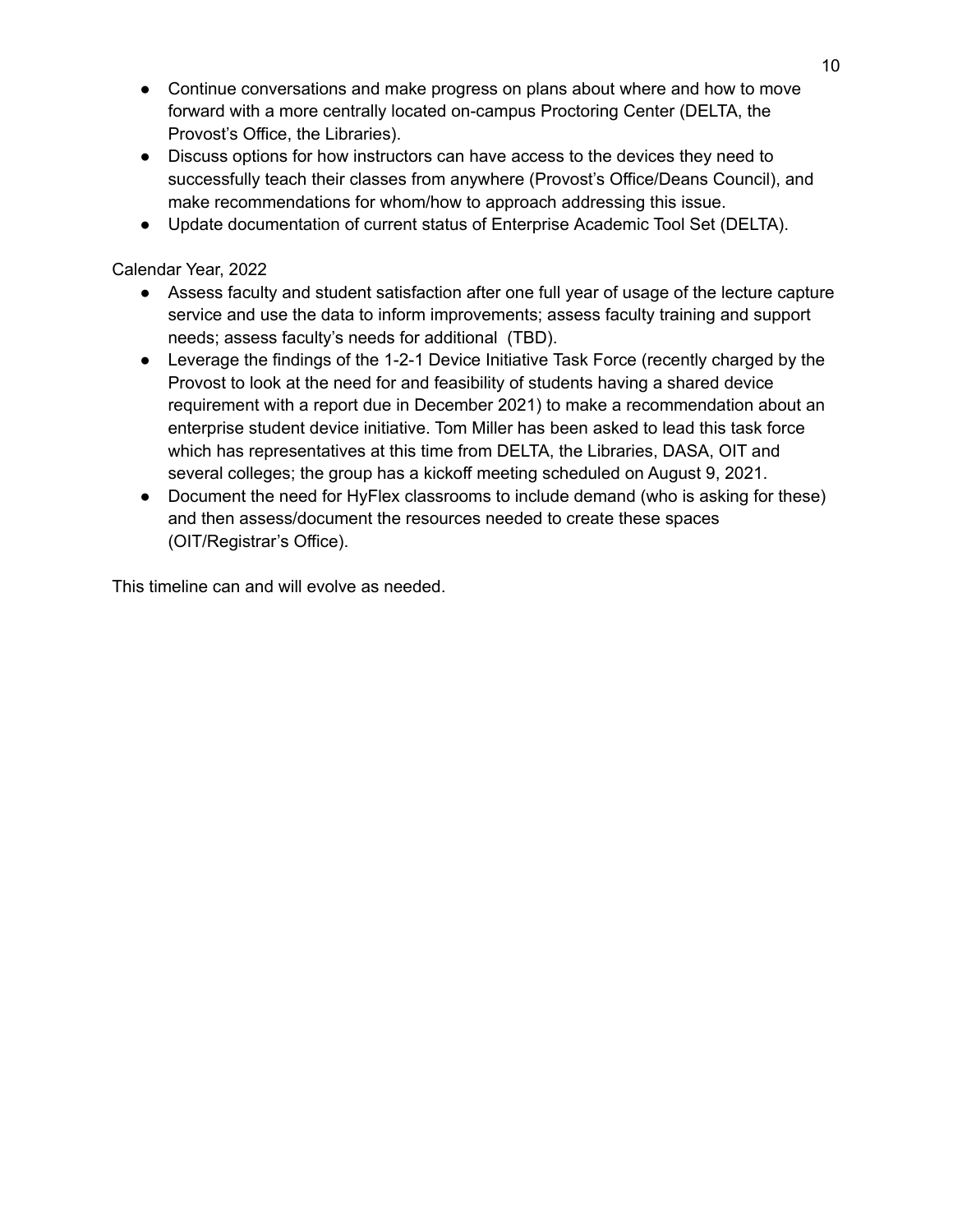- Continue conversations and make progress on plans about where and how to move forward with a more centrally located on-campus Proctoring Center (DELTA, the Provost's Office, the Libraries).
- Discuss options for how instructors can have access to the devices they need to successfully teach their classes from anywhere (Provost's Office/Deans Council), and make recommendations for whom/how to approach addressing this issue.
- Update documentation of current status of Enterprise Academic Tool Set (DELTA).

#### Calendar Year, 2022

- Assess faculty and student satisfaction after one full year of usage of the lecture capture service and use the data to inform improvements; assess faculty training and support needs; assess faculty's needs for additional (TBD).
- Leverage the findings of the 1-2-1 Device Initiative Task Force (recently charged by the Provost to look at the need for and feasibility of students having a shared device requirement with a report due in December 2021) to make a recommendation about an enterprise student device initiative. Tom Miller has been asked to lead this task force which has representatives at this time from DELTA, the Libraries, DASA, OIT and several colleges; the group has a kickoff meeting scheduled on August 9, 2021.
- Document the need for HyFlex classrooms to include demand (who is asking for these) and then assess/document the resources needed to create these spaces (OIT/Registrar's Office).

This timeline can and will evolve as needed.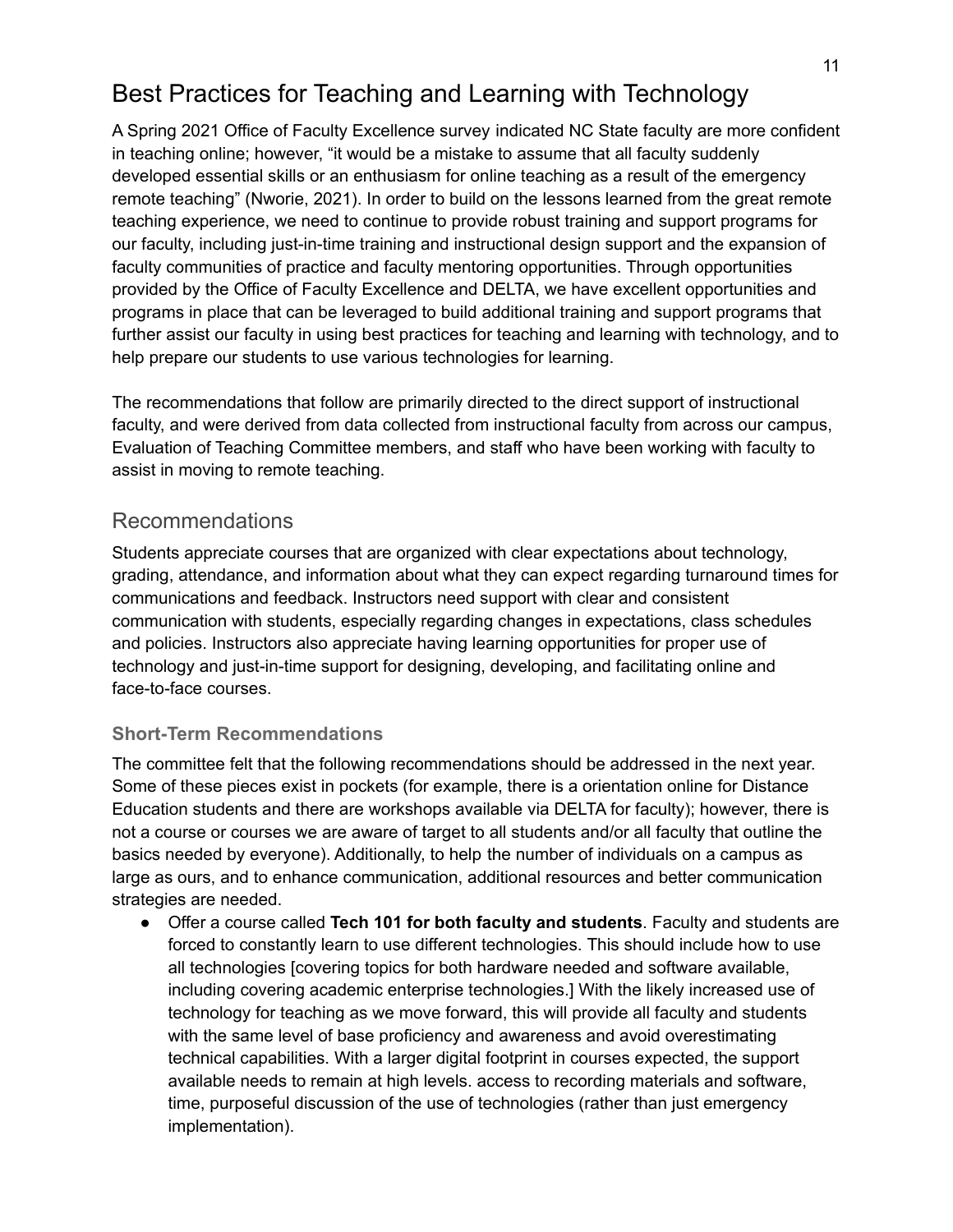## <span id="page-10-0"></span>Best Practices for Teaching and Learning with Technology

A Spring 2021 Office of Faculty Excellence survey indicated NC State faculty are more confident in teaching online; however, "it would be a mistake to assume that all faculty suddenly developed essential skills or an enthusiasm for online teaching as a result of the emergency remote teaching" (Nworie, 2021). In order to build on the lessons learned from the great remote teaching experience, we need to continue to provide robust training and support programs for our faculty, including just-in-time training and instructional design support and the expansion of faculty communities of practice and faculty mentoring opportunities. Through opportunities provided by the Office of Faculty Excellence and DELTA, we have excellent opportunities and programs in place that can be leveraged to build additional training and support programs that further assist our faculty in using best practices for teaching and learning with technology, and to help prepare our students to use various technologies for learning.

The recommendations that follow are primarily directed to the direct support of instructional faculty, and were derived from data collected from instructional faculty from across our campus, Evaluation of Teaching Committee members, and staff who have been working with faculty to assist in moving to remote teaching.

## Recommendations

Students appreciate courses that are organized with clear expectations about technology, grading, attendance, and information about what they can expect regarding turnaround times for communications and feedback. Instructors need support with clear and consistent communication with students, especially regarding changes in expectations, class schedules and policies. Instructors also appreciate having learning opportunities for proper use of technology and just-in-time support for designing, developing, and facilitating online and face-to-face courses.

### **Short-Term Recommendations**

The committee felt that the following recommendations should be addressed in the next year. Some of these pieces exist in pockets (for example, there is a orientation online for Distance Education students and there are workshops available via DELTA for faculty); however, there is not a course or courses we are aware of target to all students and/or all faculty that outline the basics needed by everyone). Additionally, to help the number of individuals on a campus as large as ours, and to enhance communication, additional resources and better communication strategies are needed.

● Offer a course called **Tech 101 for both faculty and students**. Faculty and students are forced to constantly learn to use different technologies. This should include how to use all technologies [covering topics for both hardware needed and software available, including covering academic enterprise technologies.] With the likely increased use of technology for teaching as we move forward, this will provide all faculty and students with the same level of base proficiency and awareness and avoid overestimating technical capabilities. With a larger digital footprint in courses expected, the support available needs to remain at high levels. access to recording materials and software, time, purposeful discussion of the use of technologies (rather than just emergency implementation).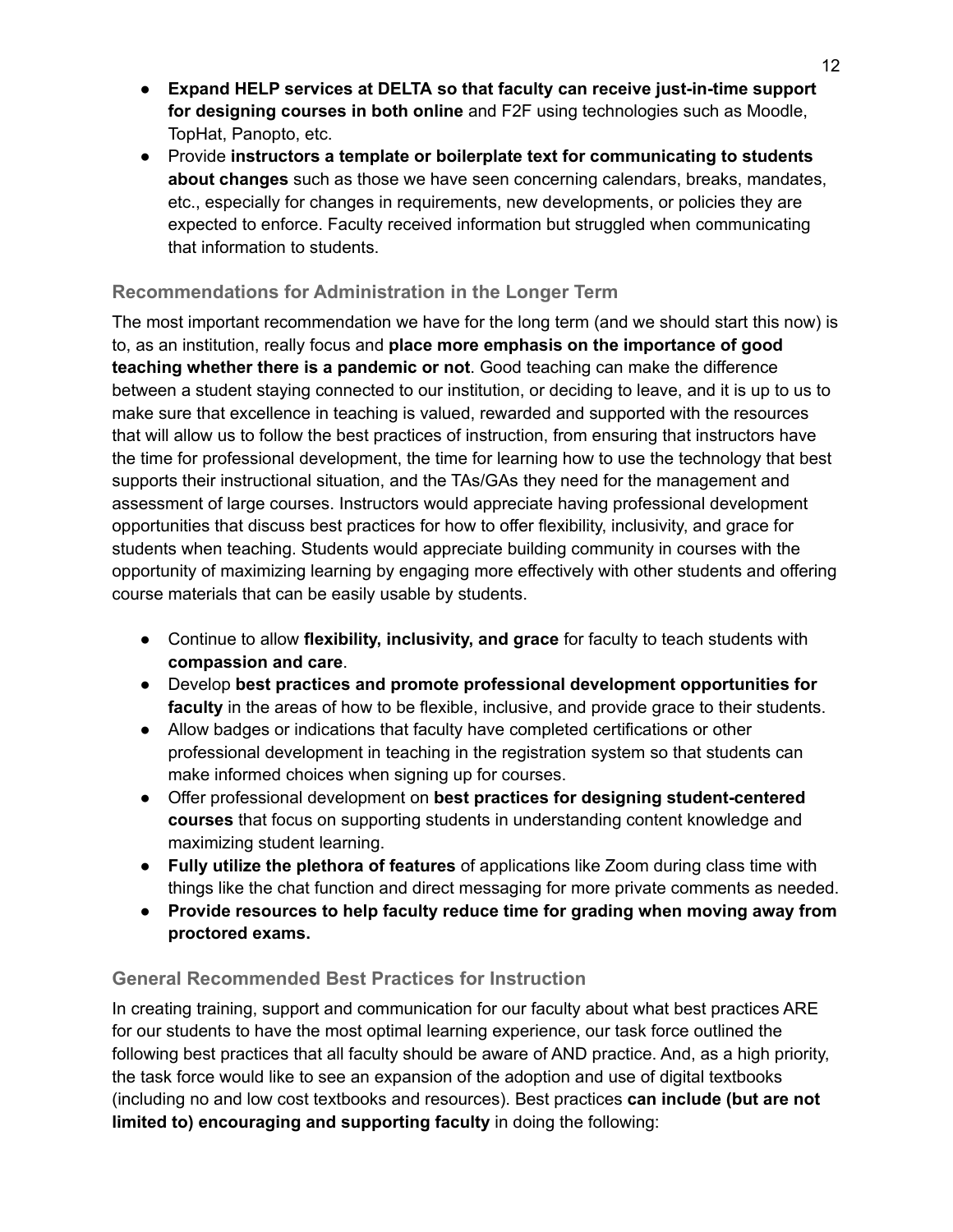- **Expand HELP services at DELTA so that faculty can receive just-in-time support for designing courses in both online** and F2F using technologies such as Moodle, TopHat, Panopto, etc.
- Provide **instructors a template or boilerplate text for communicating to students about changes** such as those we have seen concerning calendars, breaks, mandates, etc., especially for changes in requirements, new developments, or policies they are expected to enforce. Faculty received information but struggled when communicating that information to students.

### **Recommendations for Administration in the Longer Term**

The most important recommendation we have for the long term (and we should start this now) is to, as an institution, really focus and **place more emphasis on the importance of good teaching whether there is a pandemic or not**. Good teaching can make the difference between a student staying connected to our institution, or deciding to leave, and it is up to us to make sure that excellence in teaching is valued, rewarded and supported with the resources that will allow us to follow the best practices of instruction, from ensuring that instructors have the time for professional development, the time for learning how to use the technology that best supports their instructional situation, and the TAs/GAs they need for the management and assessment of large courses. Instructors would appreciate having professional development opportunities that discuss best practices for how to offer flexibility, inclusivity, and grace for students when teaching. Students would appreciate building community in courses with the opportunity of maximizing learning by engaging more effectively with other students and offering course materials that can be easily usable by students.

- Continue to allow **flexibility, inclusivity, and grace** for faculty to teach students with **compassion and care**.
- Develop **best practices and promote professional development opportunities for faculty** in the areas of how to be flexible, inclusive, and provide grace to their students.
- Allow badges or indications that faculty have completed certifications or other professional development in teaching in the registration system so that students can make informed choices when signing up for courses.
- Offer professional development on **best practices for designing student-centered courses** that focus on supporting students in understanding content knowledge and maximizing student learning.
- **Fully utilize the plethora of features** of applications like Zoom during class time with things like the chat function and direct messaging for more private comments as needed.
- **● Provide resources to help faculty reduce time for grading when moving away from proctored exams.**

#### **General Recommended Best Practices for Instruction**

In creating training, support and communication for our faculty about what best practices ARE for our students to have the most optimal learning experience, our task force outlined the following best practices that all faculty should be aware of AND practice. And, as a high priority, the task force would like to see an expansion of the adoption and use of digital textbooks (including no and low cost textbooks and resources). Best practices **can include (but are not limited to) encouraging and supporting faculty** in doing the following: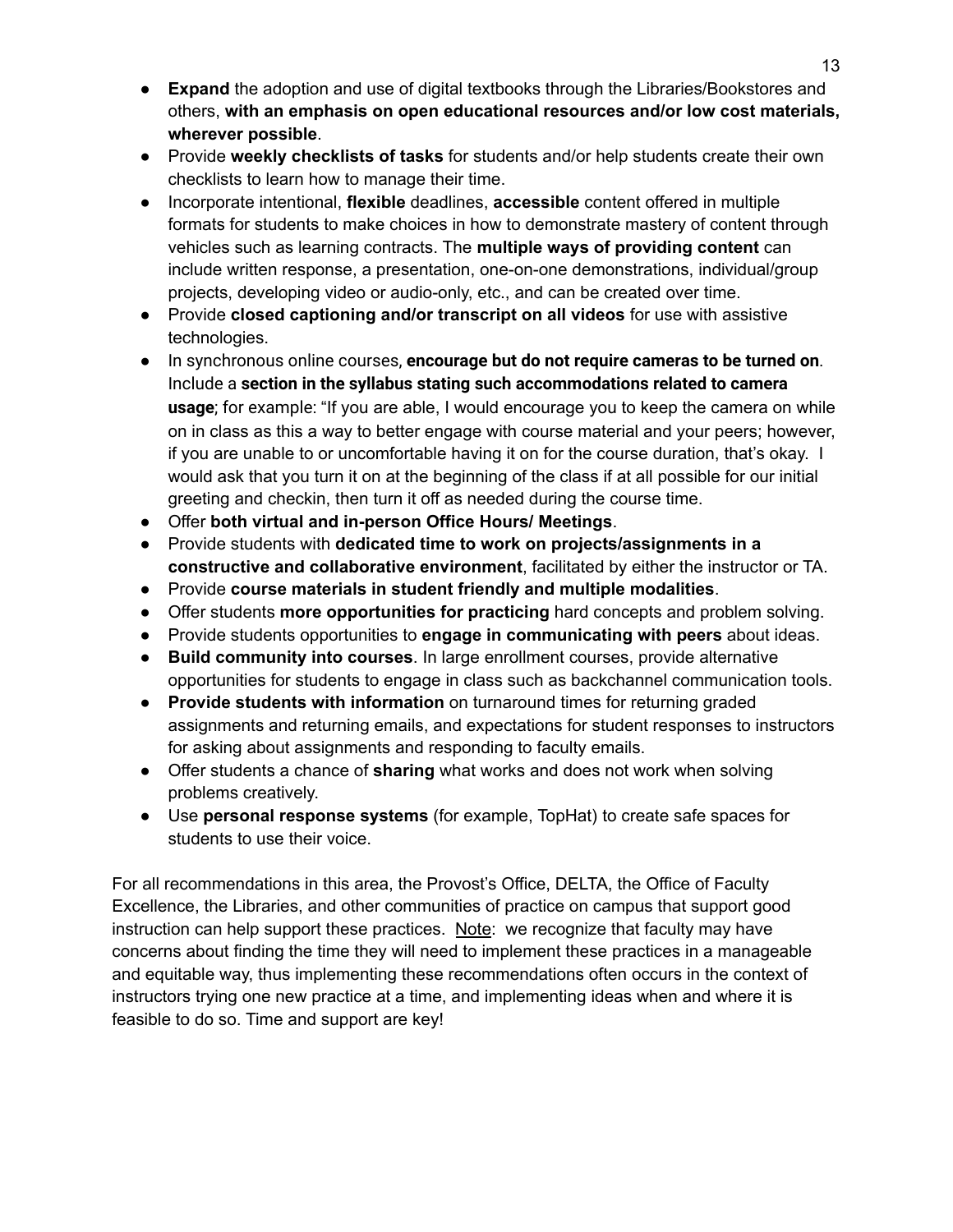- **Expand** the adoption and use of digital textbooks through the Libraries/Bookstores and others, **with an emphasis on open educational resources and/or low cost materials, wherever possible**.
- Provide **weekly checklists of tasks** for students and/or help students create their own checklists to learn how to manage their time.
- Incorporate intentional, **flexible** deadlines, **accessible** content offered in multiple formats for students to make choices in how to demonstrate mastery of content through vehicles such as learning contracts. The **multiple ways of providing content** can include written response, a presentation, one-on-one demonstrations, individual/group projects, developing video or audio-only, etc., and can be created over time.
- Provide **closed captioning and/or transcript on all videos** for use with assistive technologies.
- In synchronous online courses, **encourage but do not require cameras to be turned on**. Include a **section in the syllabus stating such accommodations related to camera usage**; for example: "If you are able, I would encourage you to keep the camera on while on in class as this a way to better engage with course material and your peers; however, if you are unable to or uncomfortable having it on for the course duration, that's okay. I would ask that you turn it on at the beginning of the class if at all possible for our initial greeting and checkin, then turn it off as needed during the course time.
- Offer **both virtual and in-person Office Hours/ Meetings**.
- Provide students with **dedicated time to work on projects/assignments in a constructive and collaborative environment**, facilitated by either the instructor or TA.
- Provide **course materials in student friendly and multiple modalities**.
- Offer students **more opportunities for practicing** hard concepts and problem solving.
- Provide students opportunities to **engage in communicating with peers** about ideas.
- **Build community into courses**. In large enrollment courses, provide alternative opportunities for students to engage in class such as backchannel communication tools.
- **Provide students with information** on turnaround times for returning graded assignments and returning emails, and expectations for student responses to instructors for asking about assignments and responding to faculty emails.
- Offer students a chance of **sharing** what works and does not work when solving problems creatively.
- Use **personal response systems** (for example, TopHat) to create safe spaces for students to use their voice.

For all recommendations in this area, the Provost's Office, DELTA, the Office of Faculty Excellence, the Libraries, and other communities of practice on campus that support good instruction can help support these practices. Note: we recognize that faculty may have concerns about finding the time they will need to implement these practices in a manageable and equitable way, thus implementing these recommendations often occurs in the context of instructors trying one new practice at a time, and implementing ideas when and where it is feasible to do so. Time and support are key!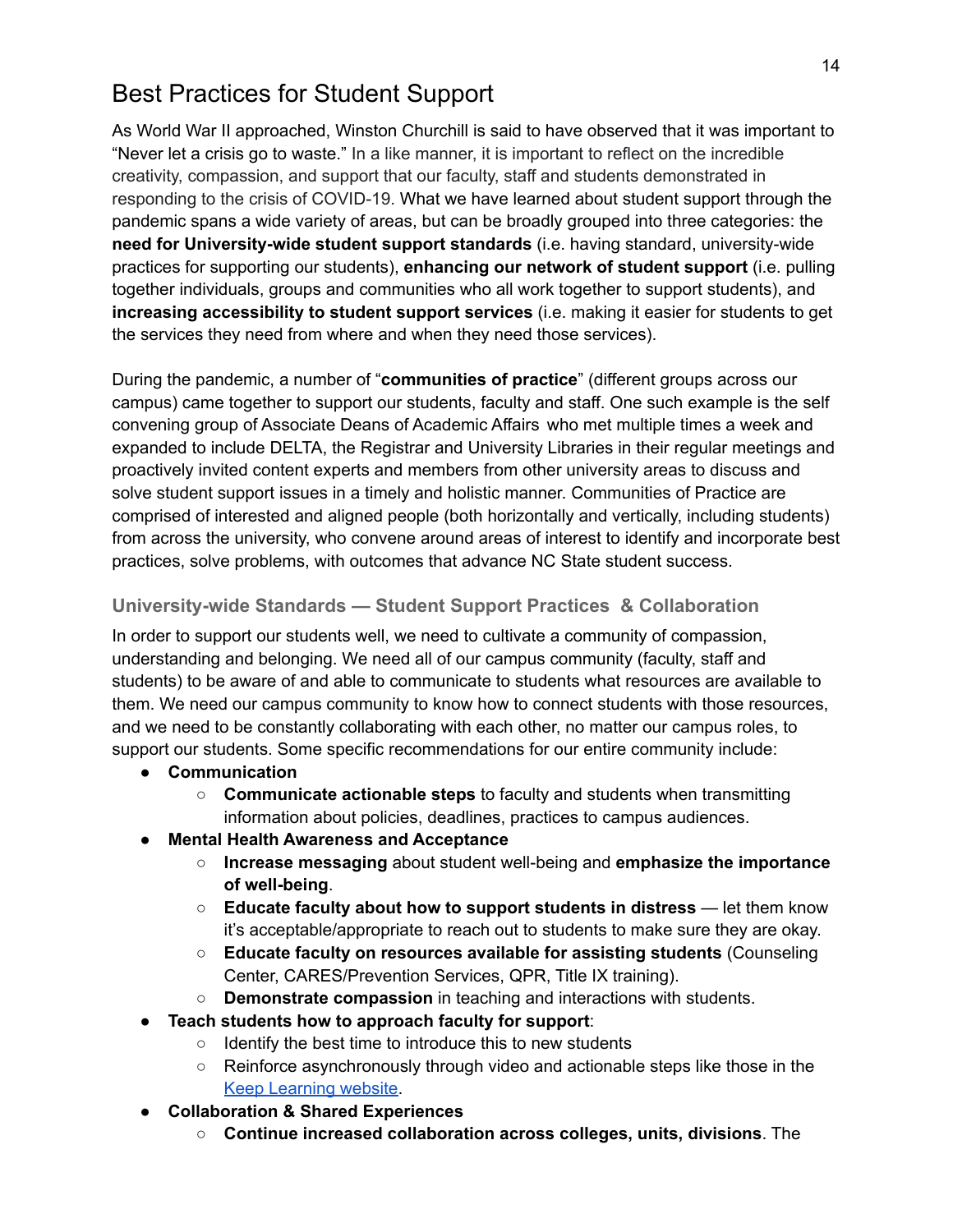## <span id="page-13-0"></span>Best Practices for Student Support

As World War II approached, Winston Churchill is said to have observed that it was important to "Never let a crisis go to waste." In a like manner, it is important to reflect on the incredible creativity, compassion, and support that our faculty, staff and students demonstrated in responding to the crisis of COVID-19. What we have learned about student support through the pandemic spans a wide variety of areas, but can be broadly grouped into three categories: the **need for University-wide student support standards** (i.e. having standard, university-wide practices for supporting our students), **enhancing our network of student support** (i.e. pulling together individuals, groups and communities who all work together to support students), and **increasing accessibility to student support services** (i.e. making it easier for students to get the services they need from where and when they need those services).

During the pandemic, a number of "**communities of practice**" (different groups across our campus) came together to support our students, faculty and staff. One such example is the self convening group of Associate Deans of Academic Affairs who met multiple times a week and expanded to include DELTA, the Registrar and University Libraries in their regular meetings and proactively invited content experts and members from other university areas to discuss and solve student support issues in a timely and holistic manner. Communities of Practice are comprised of interested and aligned people (both horizontally and vertically, including students) from across the university, who convene around areas of interest to identify and incorporate best practices, solve problems, with outcomes that advance NC State student success.

#### **University-wide Standards — Student Support Practices & Collaboration**

In order to support our students well, we need to cultivate a community of compassion, understanding and belonging. We need all of our campus community (faculty, staff and students) to be aware of and able to communicate to students what resources are available to them. We need our campus community to know how to connect students with those resources, and we need to be constantly collaborating with each other, no matter our campus roles, to support our students. Some specific recommendations for our entire community include:

- **Communication**
	- **Communicate actionable steps** to faculty and students when transmitting information about policies, deadlines, practices to campus audiences.
- **Mental Health Awareness and Acceptance**
	- **Increase messaging** about student well-being and **emphasize the importance of well-being**.
	- **Educate faculty about how to support students in distress** let them know it's acceptable/appropriate to reach out to students to make sure they are okay.
	- **Educate faculty on resources available for assisting students** (Counseling Center, CARES/Prevention Services, QPR, Title IX training).
	- **Demonstrate compassion** in teaching and interactions with students.
- **Teach students how to approach faculty for support**:
	- Identify the best time to introduce this to new students
	- Reinforce asynchronously through video and actionable steps like those in the Keep [Learning](https://dasa.ncsu.edu/academics/keep-learning/) website.
- **Collaboration & Shared Experiences**
	- **Continue increased collaboration across colleges, units, divisions**. The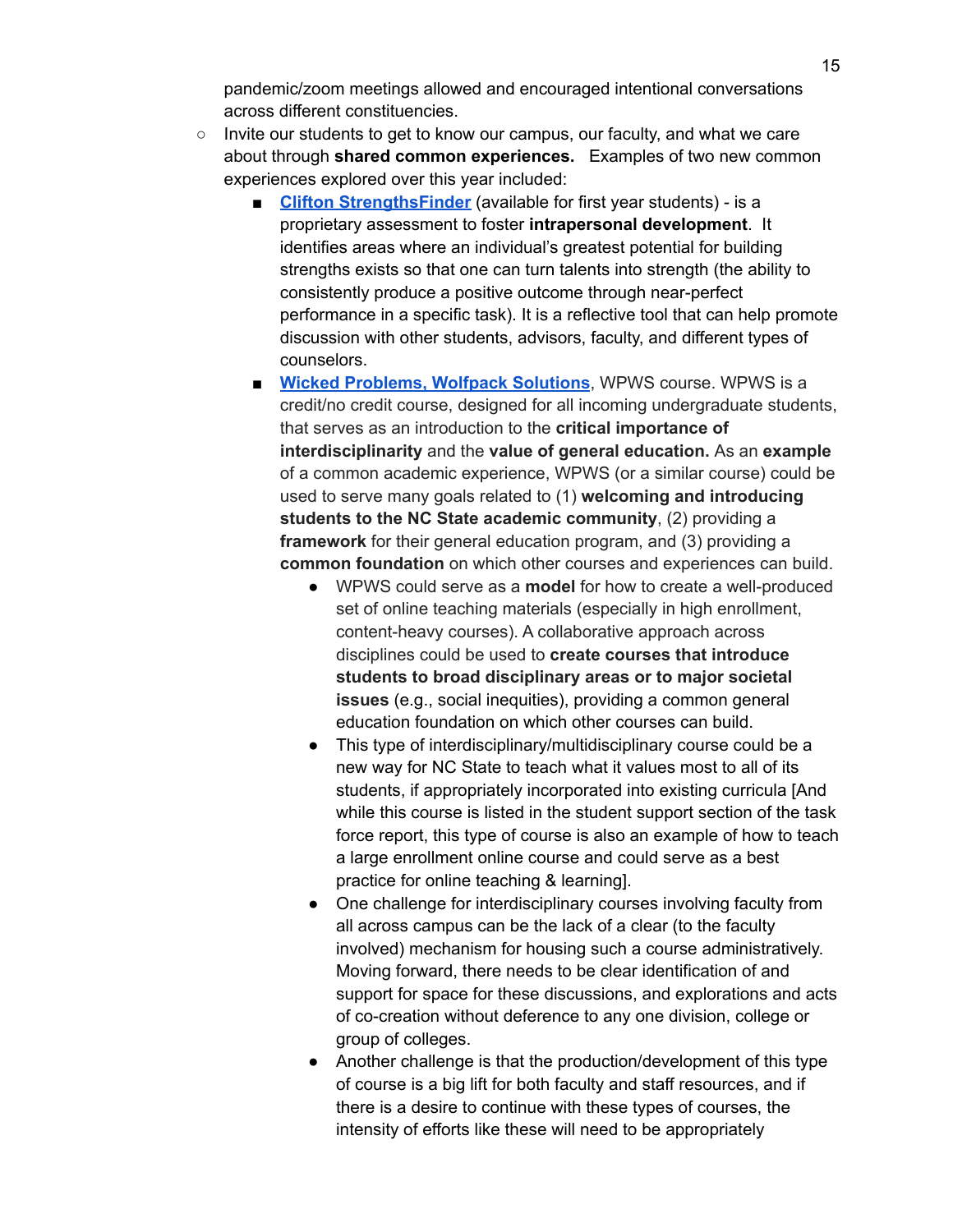pandemic/zoom meetings allowed and encouraged intentional conversations across different constituencies.

- Invite our students to get to know our campus, our faculty, and what we care about through **shared common experiences.** Examples of two new common experiences explored over this year included:
	- **Clifton [StrengthsFinder](https://newstudents.dasa.ncsu.edu/common-experience/#:~:text=The%20Common%20Experience%20at%20NC,unique%20rank%20of%20CliftonStrengths%20themes.)** (available for first year students) is a proprietary assessment to foster **intrapersonal development**. It identifies areas where an individual's greatest potential for building strengths exists so that one can turn talents into strength (the ability to consistently produce a positive outcome through near-perfect performance in a specific task). It is a reflective tool that can help promote discussion with other students, advisors, faculty, and different types of counselors.
	- **Wicked [Problems,](https://sites.google.com/ncsu.edu/wolfpack-solutions) Wolfpack Solutions**, WPWS course. WPWS is a credit/no credit course, designed for all incoming undergraduate students, that serves as an introduction to the **critical importance of interdisciplinarity** and the **value of general education.** As an **example** of a common academic experience, WPWS (or a similar course) could be used to serve many goals related to (1) **welcoming and introducing students to the NC State academic community**, (2) providing a **framework** for their general education program, and (3) providing a **common foundation** on which other courses and experiences can build.
		- WPWS could serve as a **model** for how to create a well-produced set of online teaching materials (especially in high enrollment, content-heavy courses). A collaborative approach across disciplines could be used to **create courses that introduce students to broad disciplinary areas or to major societal issues** (e.g., social inequities), providing a common general education foundation on which other courses can build.
		- This type of interdisciplinary/multidisciplinary course could be a new way for NC State to teach what it values most to all of its students, if appropriately incorporated into existing curricula [And while this course is listed in the student support section of the task force report, this type of course is also an example of how to teach a large enrollment online course and could serve as a best practice for online teaching & learning].
		- One challenge for interdisciplinary courses involving faculty from all across campus can be the lack of a clear (to the faculty involved) mechanism for housing such a course administratively. Moving forward, there needs to be clear identification of and support for space for these discussions, and explorations and acts of co-creation without deference to any one division, college or group of colleges.
		- Another challenge is that the production/development of this type of course is a big lift for both faculty and staff resources, and if there is a desire to continue with these types of courses, the intensity of efforts like these will need to be appropriately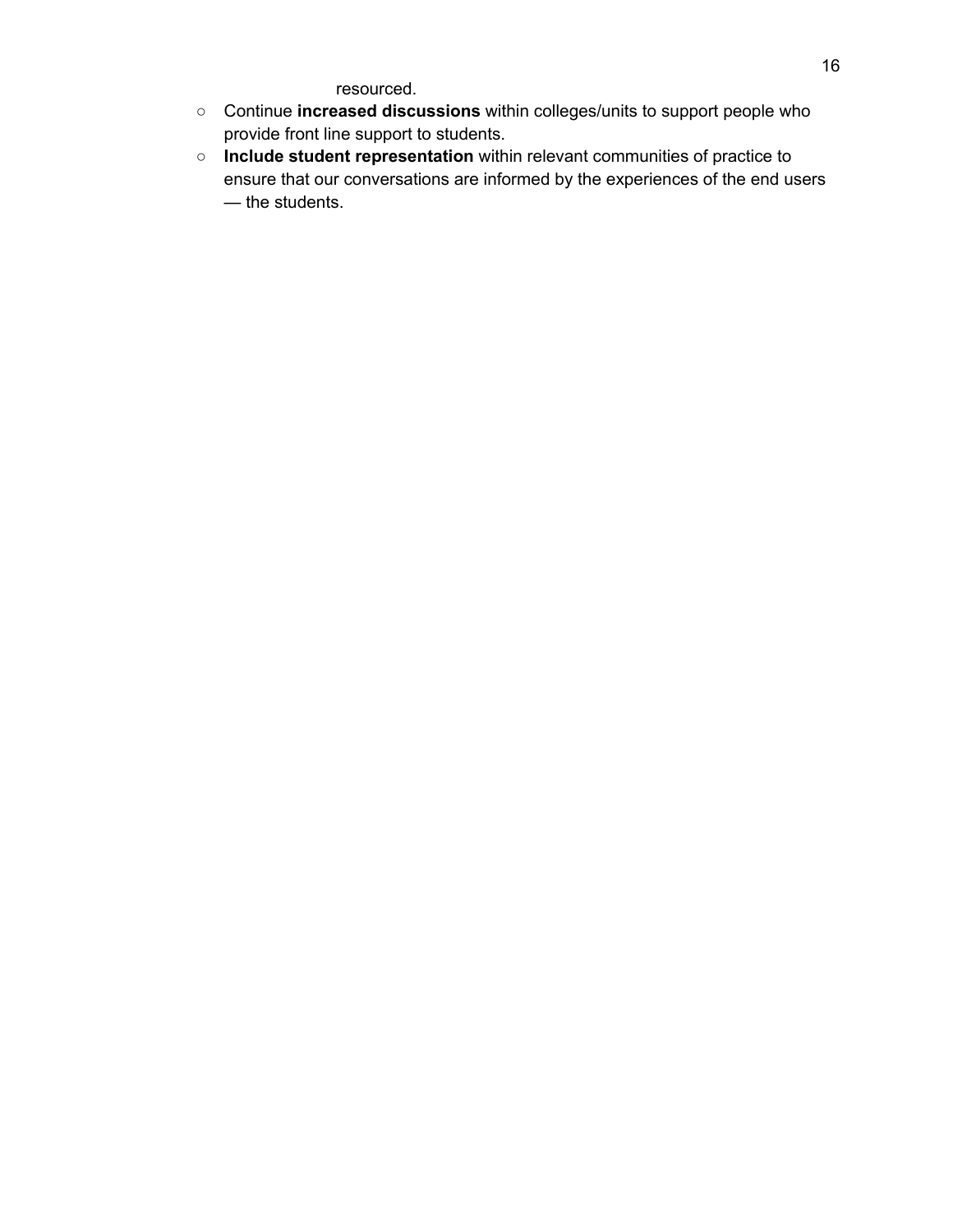resourced.

- Continue **increased discussions** within colleges/units to support people who provide front line support to students.
- **Include student representation** within relevant communities of practice to ensure that our conversations are informed by the experiences of the end users — the students.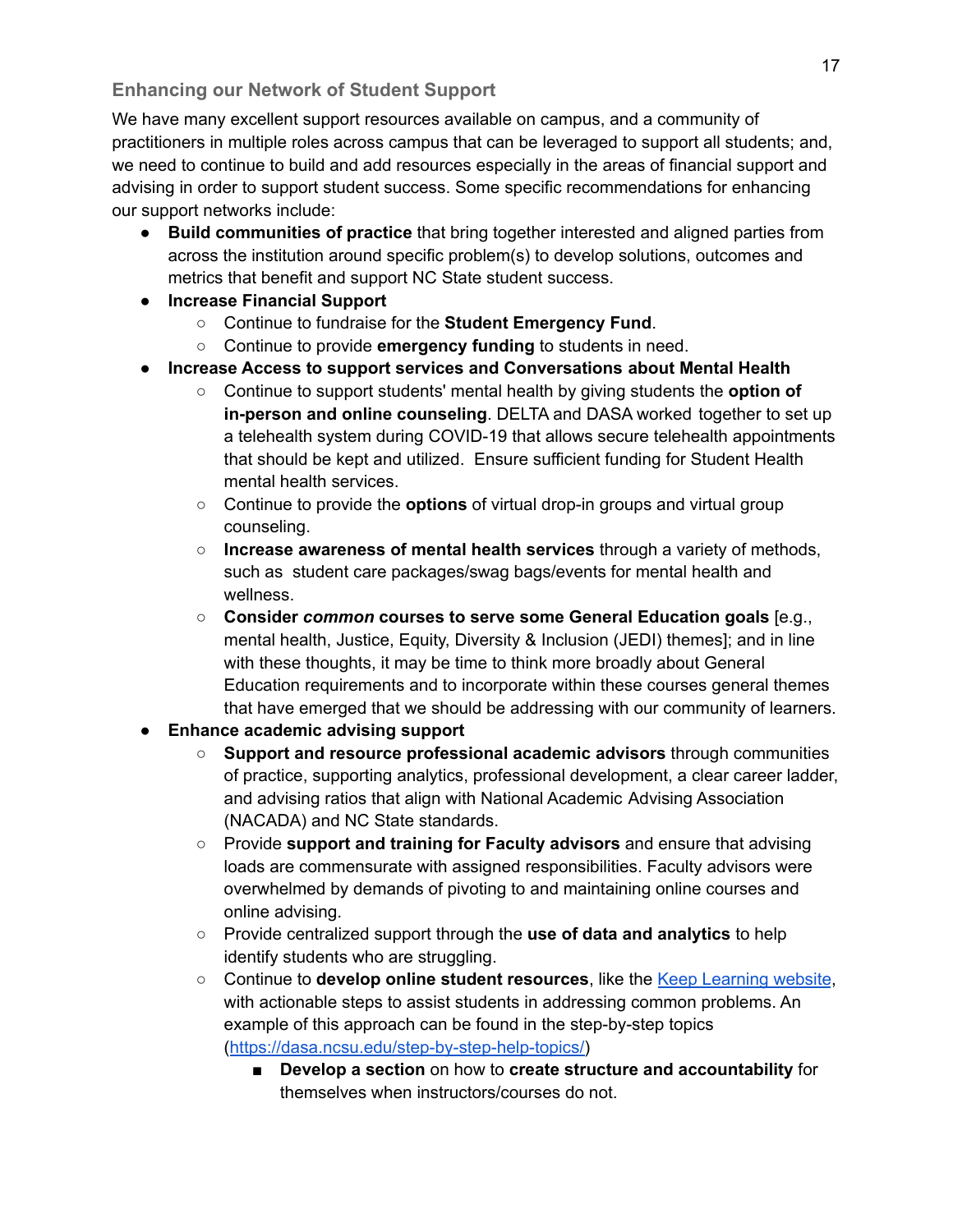### **Enhancing our Network of Student Support**

We have many excellent support resources available on campus, and a community of practitioners in multiple roles across campus that can be leveraged to support all students; and, we need to continue to build and add resources especially in the areas of financial support and advising in order to support student success. Some specific recommendations for enhancing our support networks include:

- **Build communities of practice** that bring together interested and aligned parties from across the institution around specific problem(s) to develop solutions, outcomes and metrics that benefit and support NC State student success.
- **● Increase Financial Support**
	- Continue to fundraise for the **Student Emergency Fund**.
	- Continue to provide **emergency funding** to students in need.
- **● Increase Access to support services and Conversations about Mental Health**
	- Continue to support students' mental health by giving students the **option of in-person and online counseling**. DELTA and DASA worked together to set up a telehealth system during COVID-19 that allows secure telehealth appointments that should be kept and utilized. Ensure sufficient funding for Student Health mental health services.
	- Continue to provide the **options** of virtual drop-in groups and virtual group counseling.
	- **Increase awareness of mental health services** through a variety of methods, such as student care packages/swag bags/events for mental health and wellness.
	- **Consider** *common* **courses to serve some General Education goals** [e.g., mental health, Justice, Equity, Diversity & Inclusion (JEDI) themes]; and in line with these thoughts, it may be time to think more broadly about General Education requirements and to incorporate within these courses general themes that have emerged that we should be addressing with our community of learners.

### **● Enhance academic advising support**

- **Support and resource professional academic advisors** through communities of practice, supporting analytics, professional development, a clear career ladder, and advising ratios that align with National Academic Advising Association (NACADA) and NC State standards.
- Provide **support and training for Faculty advisors** and ensure that advising loads are commensurate with assigned responsibilities. Faculty advisors were overwhelmed by demands of pivoting to and maintaining online courses and online advising.
- Provide centralized support through the **use of data and analytics** to help identify students who are struggling.
- Continue to **develop online student resources**, like the Keep [Learning](https://dasa.ncsu.edu/academics/keep-learning/) website, with actionable steps to assist students in addressing common problems. An example of this approach can be found in the step-by-step topics ([https://dasa.ncsu.edu/step-by-step-help-topics/\)](https://dasa.ncsu.edu/step-by-step-help-topics/)
	- **Develop a section** on how to **create structure and accountability** for themselves when instructors/courses do not.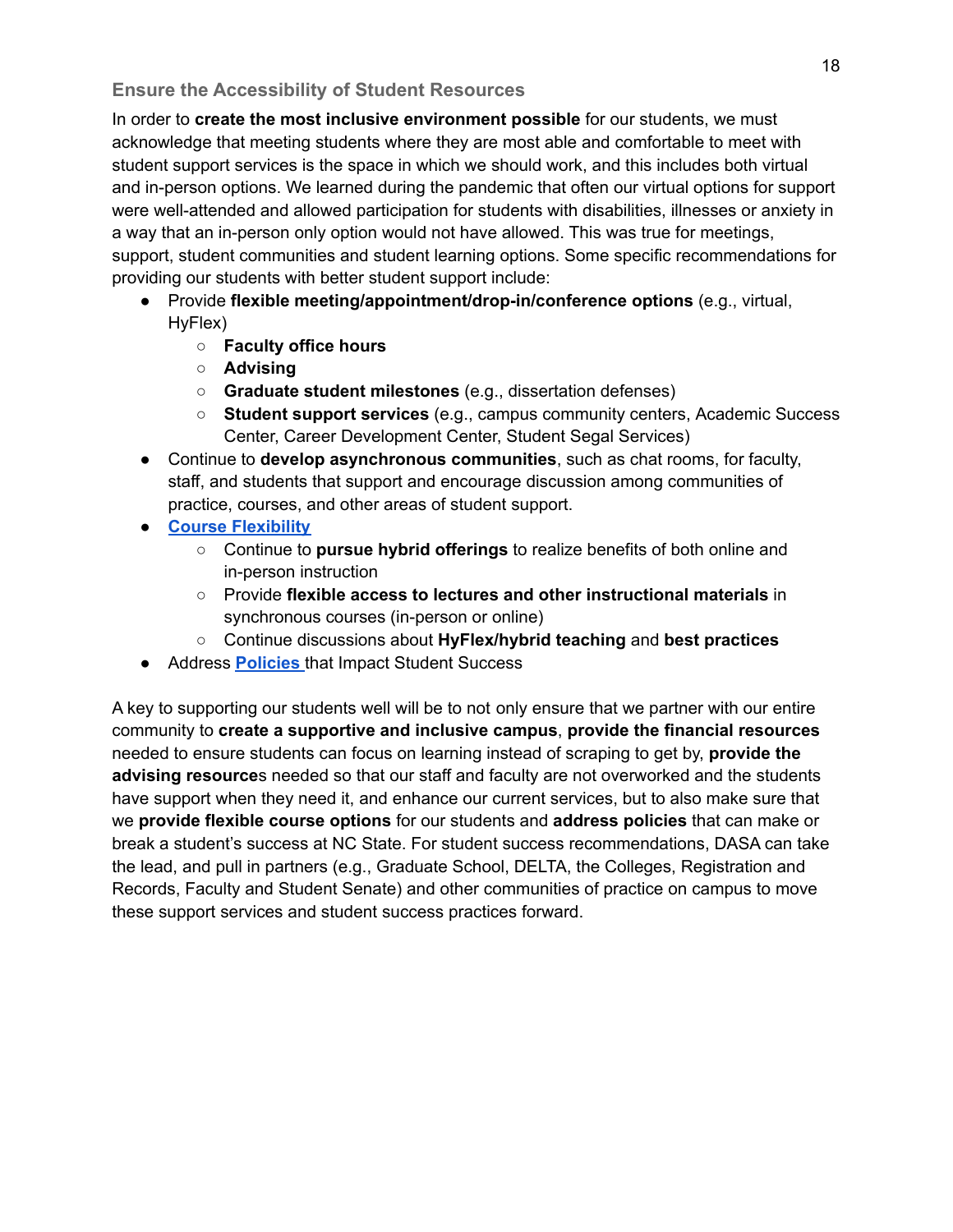#### **Ensure the Accessibility of Student Resources**

In order to **create the most inclusive environment possible** for our students, we must acknowledge that meeting students where they are most able and comfortable to meet with student support services is the space in which we should work, and this includes both virtual and in-person options. We learned during the pandemic that often our virtual options for support were well-attended and allowed participation for students with disabilities, illnesses or anxiety in a way that an in-person only option would not have allowed. This was true for meetings, support, student communities and student learning options. Some specific recommendations for providing our students with better student support include:

- Provide **flexible meeting/appointment/drop-in/conference options** (e.g., virtual, HyFlex)
	- **○ Faculty office hours**
	- **○ Advising**
	- **Graduate student milestones** (e.g., dissertation defenses)
	- **Student support services** (e.g., campus community centers, Academic Success Center, Career Development Center, Student Segal Services)
- Continue to **develop asynchronous communities**, such as chat rooms, for faculty, staff, and students that support and encourage discussion among communities of practice, courses, and other areas of student support.
- **● Course [Flexibility](#page-18-0)**
	- Continue to **pursue hybrid offerings** to realize benefits of both online and in-person instruction
	- Provide **flexible access to lectures and other instructional materials** in synchronous courses (in-person or online)
	- Continue discussions about **HyFlex/hybrid teaching** and **best practices**
- Address **[Policies](#page-22-0)** that Impact Student Success

A key to supporting our students well will be to not only ensure that we partner with our entire community to **create a supportive and inclusive campus**, **provide the financial resources** needed to ensure students can focus on learning instead of scraping to get by, **provide the advising resource**s needed so that our staff and faculty are not overworked and the students have support when they need it, and enhance our current services, but to also make sure that we **provide flexible course options** for our students and **address policies** that can make or break a student's success at NC State. For student success recommendations, DASA can take the lead, and pull in partners (e.g., Graduate School, DELTA, the Colleges, Registration and Records, Faculty and Student Senate) and other communities of practice on campus to move these support services and student success practices forward.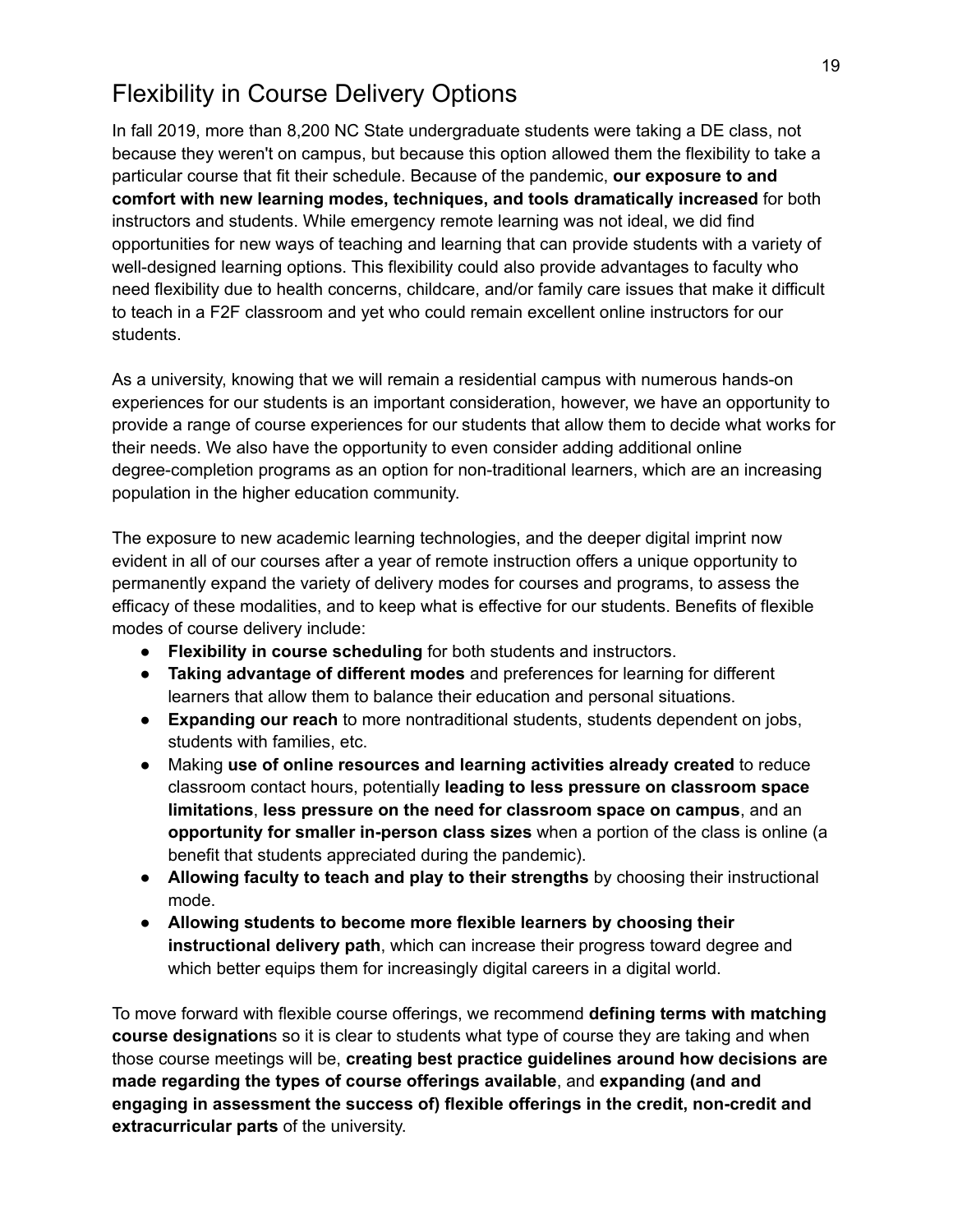## <span id="page-18-0"></span>Flexibility in Course Delivery Options

In fall 2019, more than 8,200 NC State undergraduate students were taking a DE class, not because they weren't on campus, but because this option allowed them the flexibility to take a particular course that fit their schedule. Because of the pandemic, **our exposure to and comfort with new learning modes, techniques, and tools dramatically increased** for both instructors and students. While emergency remote learning was not ideal, we did find opportunities for new ways of teaching and learning that can provide students with a variety of well-designed learning options. This flexibility could also provide advantages to faculty who need flexibility due to health concerns, childcare, and/or family care issues that make it difficult to teach in a F2F classroom and yet who could remain excellent online instructors for our students.

As a university, knowing that we will remain a residential campus with numerous hands-on experiences for our students is an important consideration, however, we have an opportunity to provide a range of course experiences for our students that allow them to decide what works for their needs. We also have the opportunity to even consider adding additional online degree-completion programs as an option for non-traditional learners, which are an increasing population in the higher education community.

The exposure to new academic learning technologies, and the deeper digital imprint now evident in all of our courses after a year of remote instruction offers a unique opportunity to permanently expand the variety of delivery modes for courses and programs, to assess the efficacy of these modalities, and to keep what is effective for our students. Benefits of flexible modes of course delivery include:

- **Flexibility in course scheduling** for both students and instructors.
- **Taking advantage of different modes** and preferences for learning for different learners that allow them to balance their education and personal situations.
- **Expanding our reach** to more nontraditional students, students dependent on jobs, students with families, etc.
- Making **use of online resources and learning activities already created** to reduce classroom contact hours, potentially **leading to less pressure on classroom space limitations**, **less pressure on the need for classroom space on campus**, and an **opportunity for smaller in-person class sizes** when a portion of the class is online (a benefit that students appreciated during the pandemic).
- **Allowing faculty to teach and play to their strengths** by choosing their instructional mode.
- **Allowing students to become more flexible learners by choosing their instructional delivery path**, which can increase their progress toward degree and which better equips them for increasingly digital careers in a digital world.

To move forward with flexible course offerings, we recommend **defining terms with matching course designation**s so it is clear to students what type of course they are taking and when those course meetings will be, **creating best practice guidelines around how decisions are made regarding the types of course offerings available**, and **expanding (and and engaging in assessment the success of) flexible offerings in the credit, non-credit and extracurricular parts** of the university.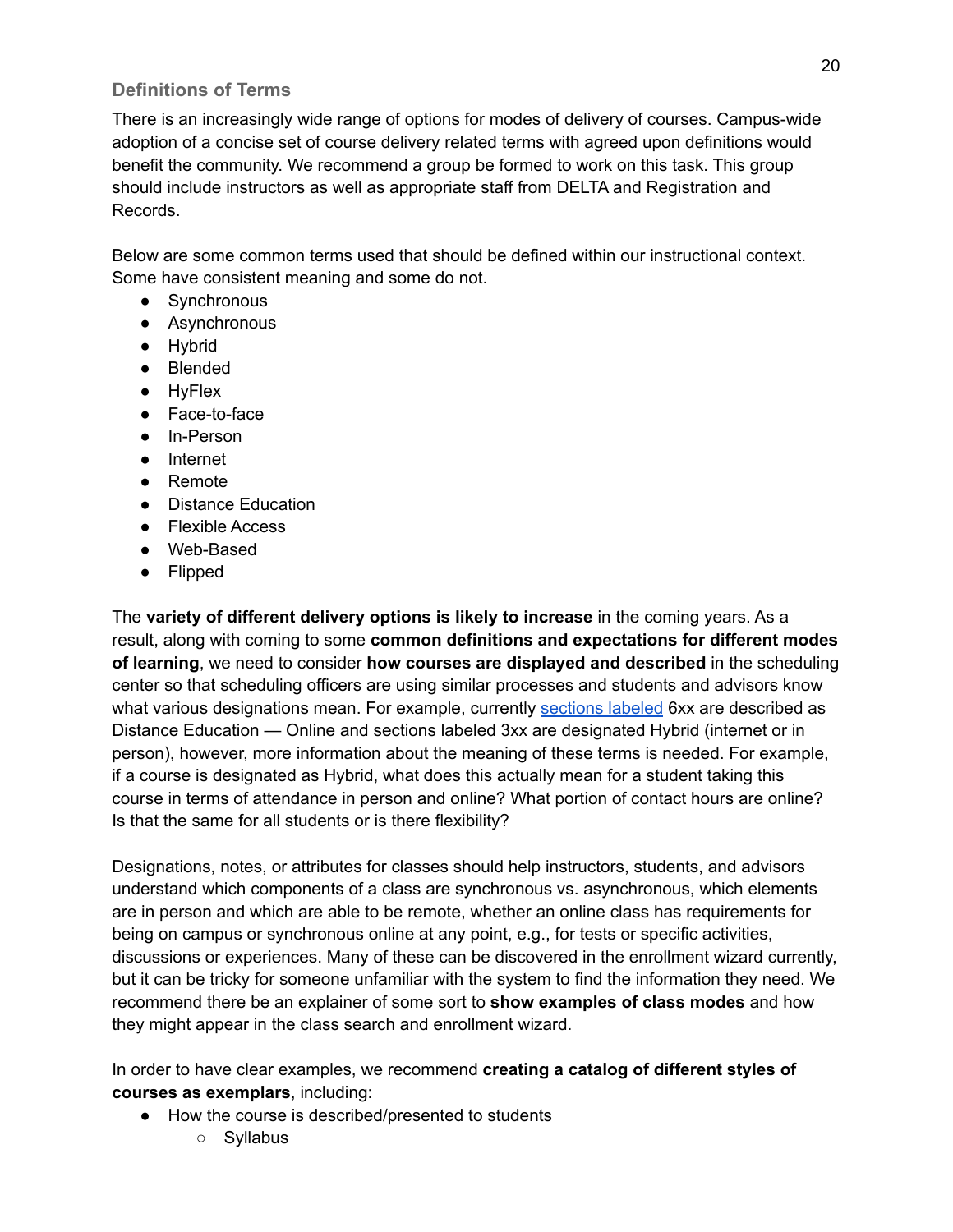#### **Definitions of Terms**

There is an increasingly wide range of options for modes of delivery of courses. Campus-wide adoption of a concise set of course delivery related terms with agreed upon definitions would benefit the community. We recommend a group be formed to work on this task. This group should include instructors as well as appropriate staff from DELTA and Registration and Records.

Below are some common terms used that should be defined within our instructional context. Some have consistent meaning and some do not.

- Synchronous
- Asynchronous
- Hybrid
- Blended
- HyFlex
- Face-to-face
- In-Person
- Internet
- Remote
- Distance Education
- Flexible Access
- Web-Based
- Flipped

The **variety of different delivery options is likely to increase** in the coming years. As a result, along with coming to some **common definitions and expectations for different modes of learning**, we need to consider **how courses are displayed and described** in the scheduling center so that scheduling officers are using similar processes and students and advisors know what various designations mean. For example, currently [sections](https://scheduling.registrar.ncsu.edu/class-scheduling-training/basics/add/) labeled 6xx are described as Distance Education — Online and sections labeled 3xx are designated Hybrid (internet or in person), however, more information about the meaning of these terms is needed. For example, if a course is designated as Hybrid, what does this actually mean for a student taking this course in terms of attendance in person and online? What portion of contact hours are online? Is that the same for all students or is there flexibility?

Designations, notes, or attributes for classes should help instructors, students, and advisors understand which components of a class are synchronous vs. asynchronous, which elements are in person and which are able to be remote, whether an online class has requirements for being on campus or synchronous online at any point, e.g., for tests or specific activities, discussions or experiences. Many of these can be discovered in the enrollment wizard currently, but it can be tricky for someone unfamiliar with the system to find the information they need. We recommend there be an explainer of some sort to **show examples of class modes** and how they might appear in the class search and enrollment wizard.

In order to have clear examples, we recommend **creating a catalog of different styles of courses as exemplars**, including:

- How the course is described/presented to students
	- Syllabus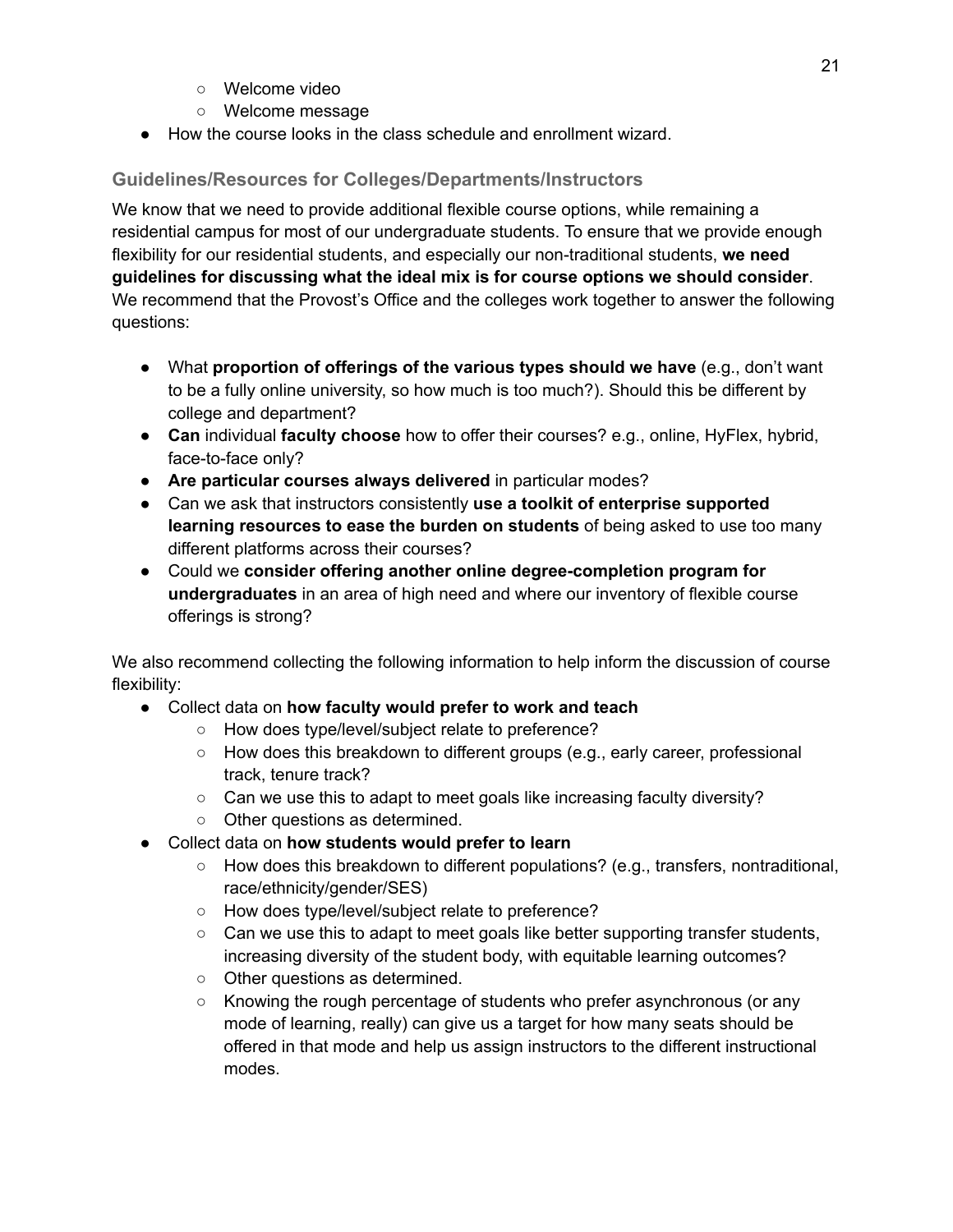- Welcome video
- Welcome message
- How the course looks in the class schedule and enrollment wizard.

### **Guidelines/Resources for Colleges/Departments/Instructors**

We know that we need to provide additional flexible course options, while remaining a residential campus for most of our undergraduate students. To ensure that we provide enough flexibility for our residential students, and especially our non-traditional students, **we need guidelines for discussing what the ideal mix is for course options we should consider**. We recommend that the Provost's Office and the colleges work together to answer the following questions:

- What **proportion of offerings of the various types should we have** (e.g., don't want to be a fully online university, so how much is too much?). Should this be different by college and department?
- **Can** individual **faculty choose** how to offer their courses? e.g., online, HyFlex, hybrid, face-to-face only?
- **Are particular courses always delivered** in particular modes?
- Can we ask that instructors consistently **use a toolkit of enterprise supported learning resources to ease the burden on students** of being asked to use too many different platforms across their courses?
- Could we **consider offering another online degree-completion program for undergraduates** in an area of high need and where our inventory of flexible course offerings is strong?

We also recommend collecting the following information to help inform the discussion of course flexibility:

- Collect data on **how faculty would prefer to work and teach**
	- How does type/level/subject relate to preference?
	- How does this breakdown to different groups (e.g., early career, professional track, tenure track?
	- Can we use this to adapt to meet goals like increasing faculty diversity?
	- Other questions as determined.
- Collect data on **how students would prefer to learn**
	- $\circ$  How does this breakdown to different populations? (e.g., transfers, nontraditional, race/ethnicity/gender/SES)
	- How does type/level/subject relate to preference?
	- $\circ$  Can we use this to adapt to meet goals like better supporting transfer students, increasing diversity of the student body, with equitable learning outcomes?
	- Other questions as determined.
	- Knowing the rough percentage of students who prefer asynchronous (or any mode of learning, really) can give us a target for how many seats should be offered in that mode and help us assign instructors to the different instructional modes.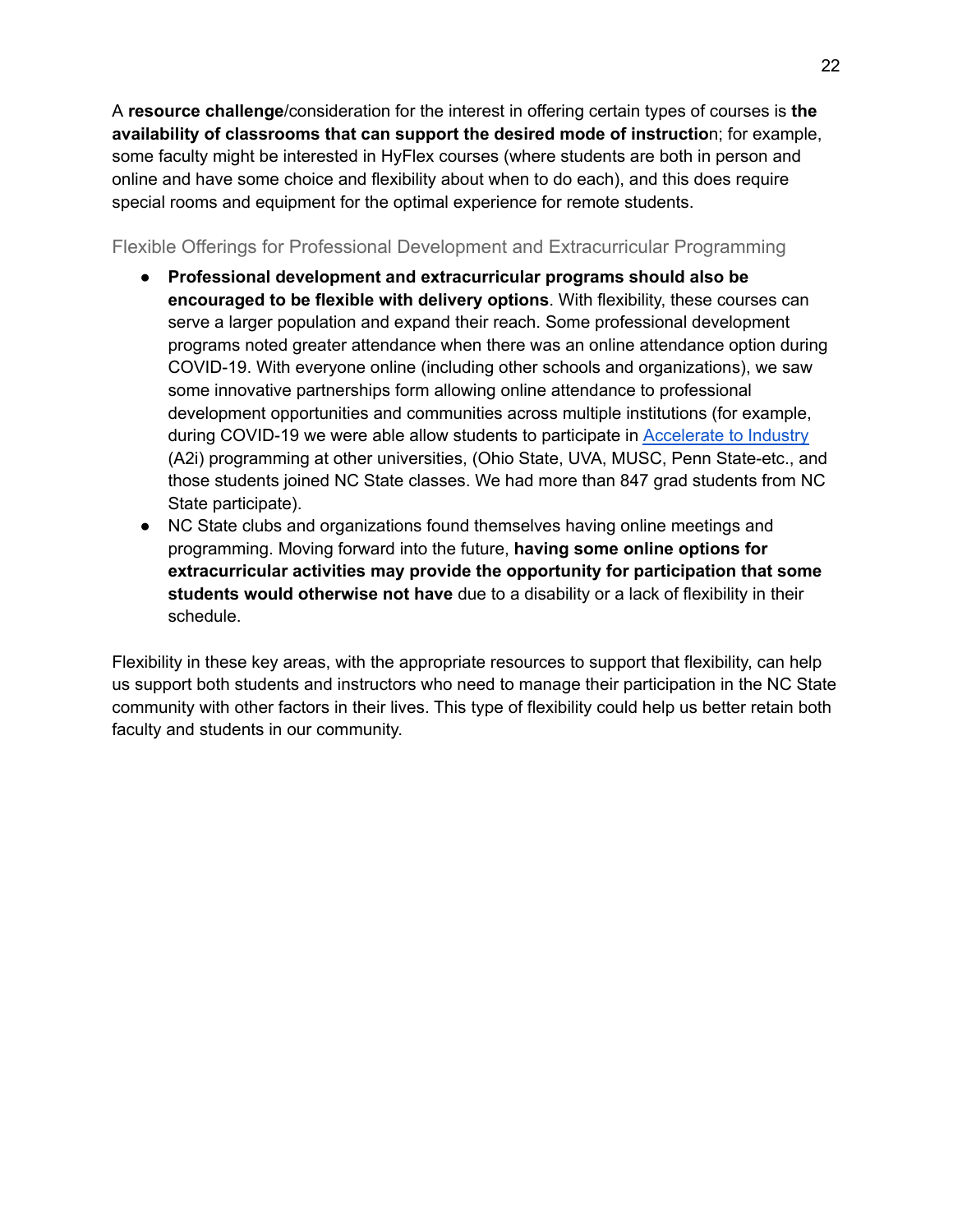A **resource challenge**/consideration for the interest in offering certain types of courses is **the availability of classrooms that can support the desired mode of instructio**n; for example, some faculty might be interested in HyFlex courses (where students are both in person and online and have some choice and flexibility about when to do each), and this does require special rooms and equipment for the optimal experience for remote students.

Flexible Offerings for Professional Development and Extracurricular Programming

- **Professional development and extracurricular programs should also be encouraged to be flexible with delivery options**. With flexibility, these courses can serve a larger population and expand their reach. Some professional development programs noted greater attendance when there was an online attendance option during COVID-19. With everyone online (including other schools and organizations), we saw some innovative partnerships form allowing online attendance to professional development opportunities and communities across multiple institutions (for example, during COVID-19 we were able allow students to participate in [Accelerate](https://grad.ncsu.edu/professional-development/career-support/accelerate-to-industry/) to Industry (A2i) programming at other universities, (Ohio State, UVA, MUSC, Penn State-etc., and those students joined NC State classes. We had more than 847 grad students from NC State participate).
- NC State clubs and organizations found themselves having online meetings and programming. Moving forward into the future, **having some online options for extracurricular activities may provide the opportunity for participation that some students would otherwise not have** due to a disability or a lack of flexibility in their schedule.

Flexibility in these key areas, with the appropriate resources to support that flexibility, can help us support both students and instructors who need to manage their participation in the NC State community with other factors in their lives. This type of flexibility could help us better retain both faculty and students in our community.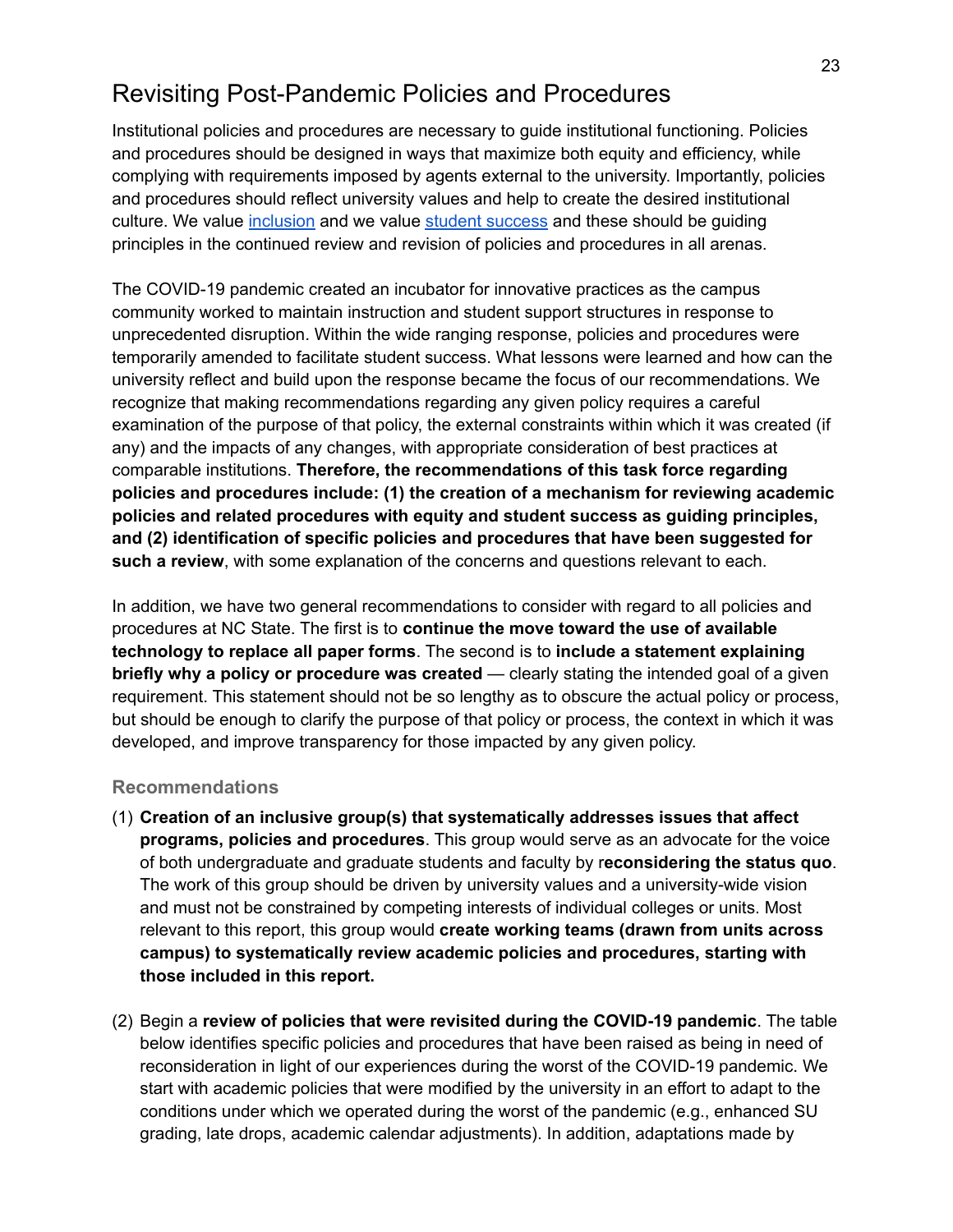## <span id="page-22-0"></span>Revisiting Post-Pandemic Policies and Procedures

Institutional policies and procedures are necessary to guide institutional functioning. Policies and procedures should be designed in ways that maximize both equity and efficiency, while complying with requirements imposed by agents external to the university. Importantly, policies and procedures should reflect university values and help to create the desired institutional culture. We value [inclusion](https://strategicplan.ncsu.edu/current-plan/wolfpack-2030-powering-the-extraordinary/#goal4) and we value student [success](https://strategicplan.ncsu.edu/current-plan/wolfpack-2030-powering-the-extraordinary/#goal1) and these should be guiding principles in the continued review and revision of policies and procedures in all arenas.

The COVID-19 pandemic created an incubator for innovative practices as the campus community worked to maintain instruction and student support structures in response to unprecedented disruption. Within the wide ranging response, policies and procedures were temporarily amended to facilitate student success. What lessons were learned and how can the university reflect and build upon the response became the focus of our recommendations. We recognize that making recommendations regarding any given policy requires a careful examination of the purpose of that policy, the external constraints within which it was created (if any) and the impacts of any changes, with appropriate consideration of best practices at comparable institutions. **Therefore, the recommendations of this task force regarding policies and procedures include: (1) the creation of a mechanism for reviewing academic policies and related procedures with equity and student success as guiding principles, and (2) identification of specific policies and procedures that have been suggested for such a review**, with some explanation of the concerns and questions relevant to each.

In addition, we have two general recommendations to consider with regard to all policies and procedures at NC State. The first is to **continue the move toward the use of available technology to replace all paper forms**. The second is to **include a statement explaining briefly why a policy or procedure was created** — clearly stating the intended goal of a given requirement. This statement should not be so lengthy as to obscure the actual policy or process, but should be enough to clarify the purpose of that policy or process, the context in which it was developed, and improve transparency for those impacted by any given policy.

#### **Recommendations**

- (1) **Creation of an inclusive group(s) that systematically addresses issues that affect programs, policies and procedures**. This group would serve as an advocate for the voice of both undergraduate and graduate students and faculty by r**econsidering the status quo**. The work of this group should be driven by university values and a university-wide vision and must not be constrained by competing interests of individual colleges or units. Most relevant to this report, this group would **create working teams (drawn from units across campus) to systematically review academic policies and procedures, starting with those included in this report.**
- (2) Begin a **review of policies that were revisited during the COVID-19 pandemic**. The table below identifies specific policies and procedures that have been raised as being in need of reconsideration in light of our experiences during the worst of the COVID-19 pandemic. We start with academic policies that were modified by the university in an effort to adapt to the conditions under which we operated during the worst of the pandemic (e.g., enhanced SU grading, late drops, academic calendar adjustments). In addition, adaptations made by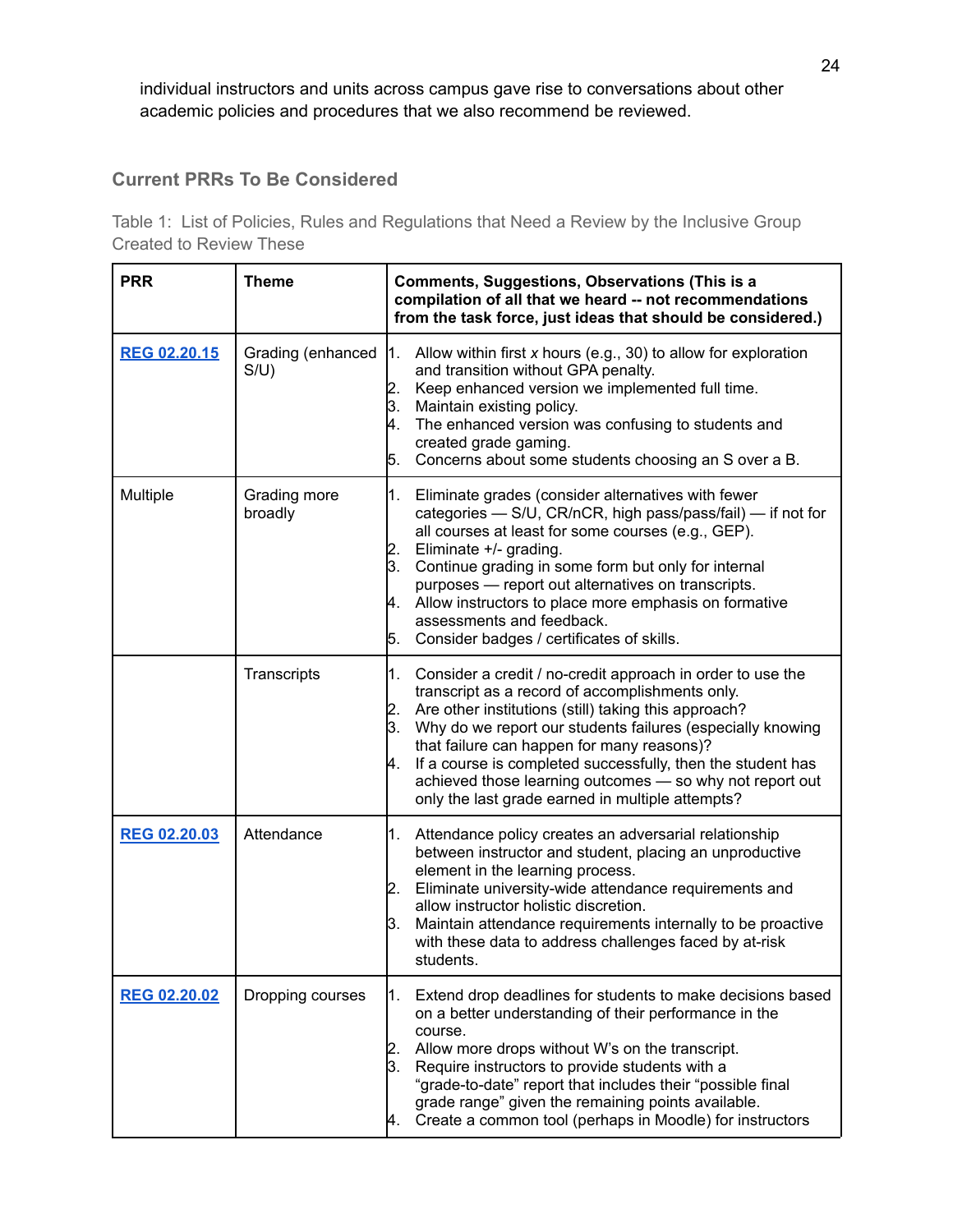individual instructors and units across campus gave rise to conversations about other academic policies and procedures that we also recommend be reviewed.

#### **Current PRRs To Be Considered**

Table 1: List of Policies, Rules and Regulations that Need a Review by the Inclusive Group Created to Review These

| <b>PRR</b>          | <b>Theme</b>              | <b>Comments, Suggestions, Observations (This is a</b><br>compilation of all that we heard -- not recommendations<br>from the task force, just ideas that should be considered.)                                                                                                                                                                                                                                                                                                          |
|---------------------|---------------------------|------------------------------------------------------------------------------------------------------------------------------------------------------------------------------------------------------------------------------------------------------------------------------------------------------------------------------------------------------------------------------------------------------------------------------------------------------------------------------------------|
| REG 02.20.15        | Grading (enhanced<br>S/U) | 1.<br>Allow within first x hours (e.g., 30) to allow for exploration<br>and transition without GPA penalty.<br>Keep enhanced version we implemented full time.<br>2.<br>3.<br>Maintain existing policy.<br>The enhanced version was confusing to students and<br>4.<br>created grade gaming.<br>Concerns about some students choosing an S over a B.<br>5.                                                                                                                               |
| Multiple            | Grading more<br>broadly   | Eliminate grades (consider alternatives with fewer<br>1.<br>categories - S/U, CR/nCR, high pass/pass/fail) - if not for<br>all courses at least for some courses (e.g., GEP).<br>Eliminate +/- grading.<br>2.<br>Continue grading in some form but only for internal<br>3.<br>purposes - report out alternatives on transcripts.<br>Allow instructors to place more emphasis on formative<br>И.<br>assessments and feedback.<br>Consider badges / certificates of skills.<br>5.          |
|                     | Transcripts               | Consider a credit / no-credit approach in order to use the<br>1.<br>transcript as a record of accomplishments only.<br>Are other institutions (still) taking this approach?<br>2.<br>3.<br>Why do we report our students failures (especially knowing<br>that failure can happen for many reasons)?<br>If a course is completed successfully, then the student has<br>Α.<br>achieved those learning outcomes - so why not report out<br>only the last grade earned in multiple attempts? |
| <b>REG 02.20.03</b> | Attendance                | Attendance policy creates an adversarial relationship<br>1.<br>between instructor and student, placing an unproductive<br>element in the learning process.<br>Eliminate university-wide attendance requirements and<br>2.<br>allow instructor holistic discretion.<br>Maintain attendance requirements internally to be proactive<br>З.<br>with these data to address challenges faced by at-risk<br>students.                                                                           |
| <b>REG 02.20.02</b> | Dropping courses          | Extend drop deadlines for students to make decisions based<br>1.<br>on a better understanding of their performance in the<br>course.<br>Allow more drops without W's on the transcript.<br>Require instructors to provide students with a<br>ß.<br>"grade-to-date" report that includes their "possible final<br>grade range" given the remaining points available.<br>Create a common tool (perhaps in Moodle) for instructors                                                          |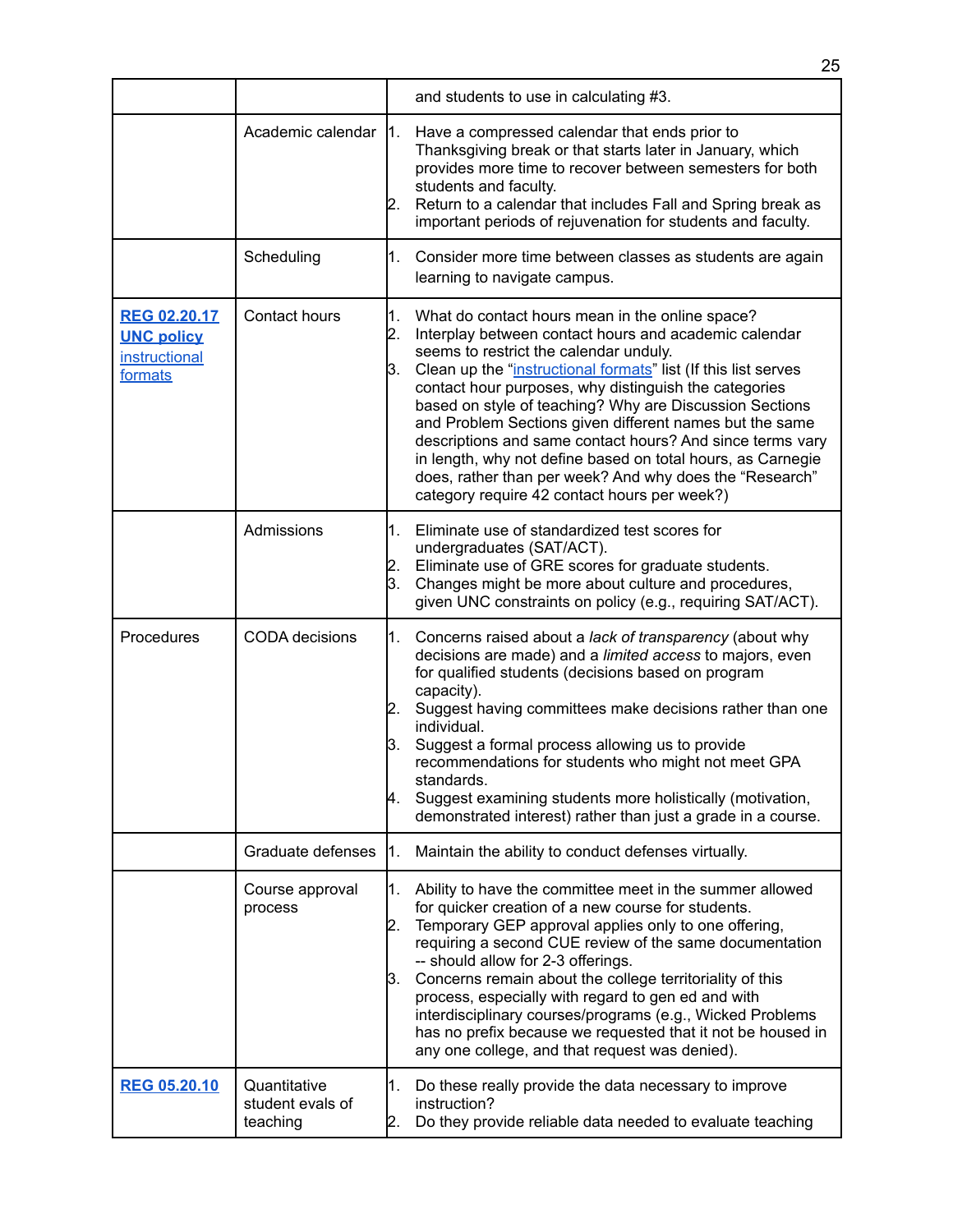|                                                                      |                                              | and students to use in calculating #3.                                                                                                                                                                                                                                                                                                                                                                                                                                                                                                                                                                                                                       |  |
|----------------------------------------------------------------------|----------------------------------------------|--------------------------------------------------------------------------------------------------------------------------------------------------------------------------------------------------------------------------------------------------------------------------------------------------------------------------------------------------------------------------------------------------------------------------------------------------------------------------------------------------------------------------------------------------------------------------------------------------------------------------------------------------------------|--|
|                                                                      | Academic calendar 1.                         | Have a compressed calendar that ends prior to<br>Thanksgiving break or that starts later in January, which<br>provides more time to recover between semesters for both<br>students and faculty.<br>Return to a calendar that includes Fall and Spring break as<br>2.<br>important periods of rejuvenation for students and faculty.                                                                                                                                                                                                                                                                                                                          |  |
|                                                                      | Scheduling                                   | $1_{-}$<br>Consider more time between classes as students are again<br>learning to navigate campus.                                                                                                                                                                                                                                                                                                                                                                                                                                                                                                                                                          |  |
| <b>REG 02.20.17</b><br><b>UNC policy</b><br>instructional<br>formats | Contact hours                                | What do contact hours mean in the online space?<br>1.<br>Interplay between contact hours and academic calendar<br>2.<br>seems to restrict the calendar unduly.<br>Clean up the "instructional formats" list (If this list serves<br>З.<br>contact hour purposes, why distinguish the categories<br>based on style of teaching? Why are Discussion Sections<br>and Problem Sections given different names but the same<br>descriptions and same contact hours? And since terms vary<br>in length, why not define based on total hours, as Carnegie<br>does, rather than per week? And why does the "Research"<br>category require 42 contact hours per week?) |  |
|                                                                      | Admissions                                   | Eliminate use of standardized test scores for<br>1.<br>undergraduates (SAT/ACT).<br>Eliminate use of GRE scores for graduate students.<br>2.<br>Changes might be more about culture and procedures,<br>3.<br>given UNC constraints on policy (e.g., requiring SAT/ACT).                                                                                                                                                                                                                                                                                                                                                                                      |  |
| Procedures                                                           | <b>CODA</b> decisions                        | Concerns raised about a lack of transparency (about why<br>1.<br>decisions are made) and a limited access to majors, even<br>for qualified students (decisions based on program<br>capacity).<br>Suggest having committees make decisions rather than one<br>2.<br>individual.<br>Suggest a formal process allowing us to provide<br>3.<br>recommendations for students who might not meet GPA<br>standards.<br>Suggest examining students more holistically (motivation,<br>4.<br>demonstrated interest) rather than just a grade in a course.                                                                                                              |  |
|                                                                      | Graduate defenses                            | Maintain the ability to conduct defenses virtually.<br>1.                                                                                                                                                                                                                                                                                                                                                                                                                                                                                                                                                                                                    |  |
|                                                                      | Course approval<br>process                   | Ability to have the committee meet in the summer allowed<br>1.<br>for quicker creation of a new course for students.<br>Temporary GEP approval applies only to one offering,<br>2.<br>requiring a second CUE review of the same documentation<br>-- should allow for 2-3 offerings.<br>Concerns remain about the college territoriality of this<br>3.<br>process, especially with regard to gen ed and with<br>interdisciplinary courses/programs (e.g., Wicked Problems<br>has no prefix because we requested that it not be housed in<br>any one college, and that request was denied).                                                                    |  |
| <b>REG 05.20.10</b>                                                  | Quantitative<br>student evals of<br>teaching | Do these really provide the data necessary to improve<br>1.<br>instruction?<br>Do they provide reliable data needed to evaluate teaching<br>2.                                                                                                                                                                                                                                                                                                                                                                                                                                                                                                               |  |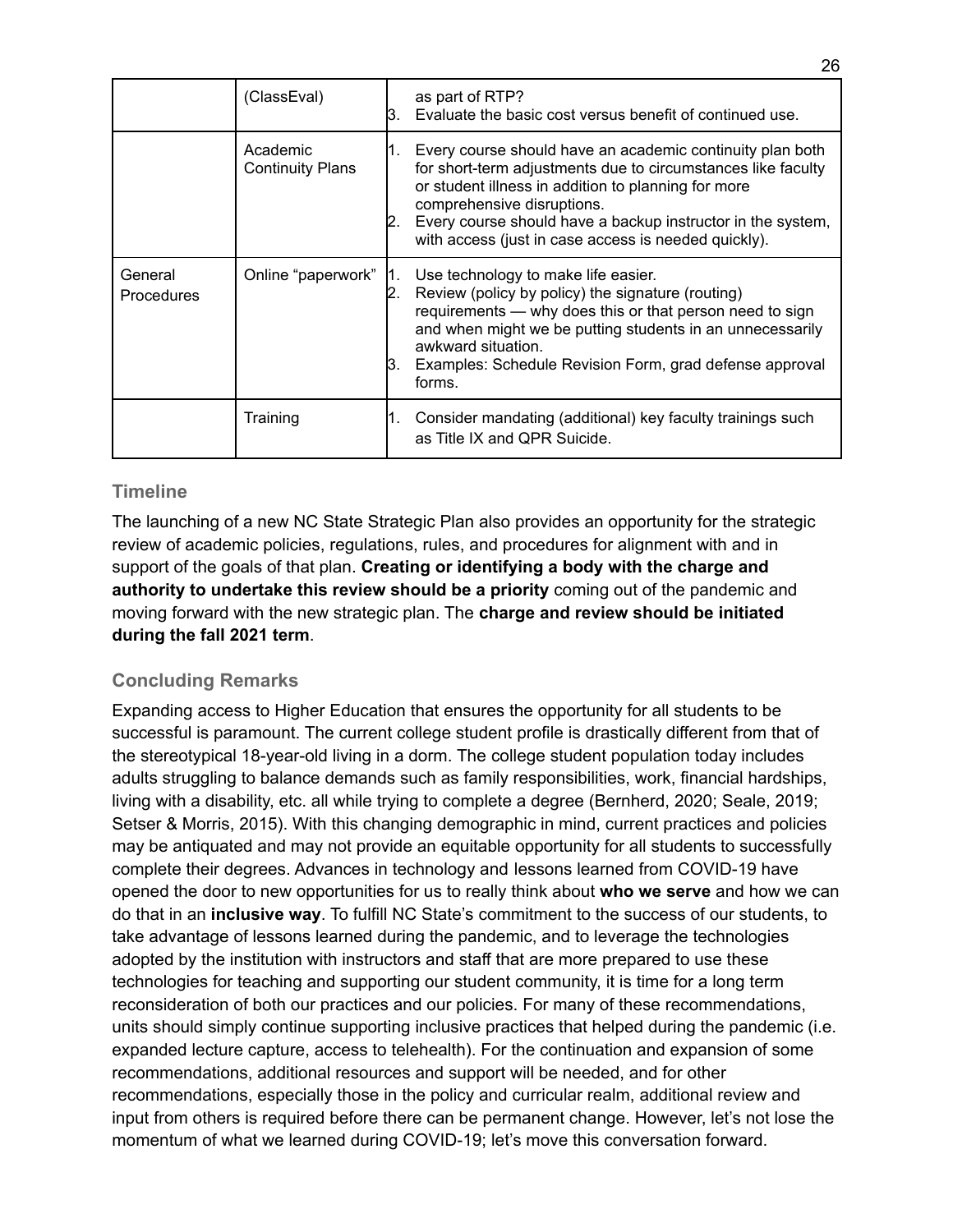|                              | (ClassEval)                         | 13. | as part of RTP?<br>Evaluate the basic cost versus benefit of continued use.                                                                                                                                                                                                                                                           |
|------------------------------|-------------------------------------|-----|---------------------------------------------------------------------------------------------------------------------------------------------------------------------------------------------------------------------------------------------------------------------------------------------------------------------------------------|
|                              | Academic<br><b>Continuity Plans</b> |     | Every course should have an academic continuity plan both<br>for short-term adjustments due to circumstances like faculty<br>or student illness in addition to planning for more<br>comprehensive disruptions.<br>Every course should have a backup instructor in the system,<br>with access (just in case access is needed quickly). |
| General<br><b>Procedures</b> | Online "paperwork"                  | IЗ. | Use technology to make life easier.<br>Review (policy by policy) the signature (routing)<br>requirements — why does this or that person need to sign<br>and when might we be putting students in an unnecessarily<br>awkward situation.<br>Examples: Schedule Revision Form, grad defense approval<br>forms.                          |
|                              | Training                            |     | Consider mandating (additional) key faculty trainings such<br>as Title IX and QPR Suicide.                                                                                                                                                                                                                                            |

#### **Timeline**

The launching of a new NC State Strategic Plan also provides an opportunity for the strategic review of academic policies, regulations, rules, and procedures for alignment with and in support of the goals of that plan. **Creating or identifying a body with the charge and authority to undertake this review should be a priority** coming out of the pandemic and moving forward with the new strategic plan. The **charge and review should be initiated during the fall 2021 term**.

### **Concluding Remarks**

Expanding access to Higher Education that ensures the opportunity for all students to be successful is paramount. The current college student profile is drastically different from that of the stereotypical 18-year-old living in a dorm. The college student population today includes adults struggling to balance demands such as family responsibilities, work, financial hardships, living with a disability, etc. all while trying to complete a degree (Bernherd, 2020; Seale, 2019; Setser & Morris, 2015). With this changing demographic in mind, current practices and policies may be antiquated and may not provide an equitable opportunity for all students to successfully complete their degrees. Advances in technology and lessons learned from COVID-19 have opened the door to new opportunities for us to really think about **who we serve** and how we can do that in an **inclusive way**. To fulfill NC State's commitment to the success of our students, to take advantage of lessons learned during the pandemic, and to leverage the technologies adopted by the institution with instructors and staff that are more prepared to use these technologies for teaching and supporting our student community, it is time for a long term reconsideration of both our practices and our policies. For many of these recommendations, units should simply continue supporting inclusive practices that helped during the pandemic (i.e. expanded lecture capture, access to telehealth). For the continuation and expansion of some recommendations, additional resources and support will be needed, and for other recommendations, especially those in the policy and curricular realm, additional review and input from others is required before there can be permanent change. However, let's not lose the momentum of what we learned during COVID-19; let's move this conversation forward.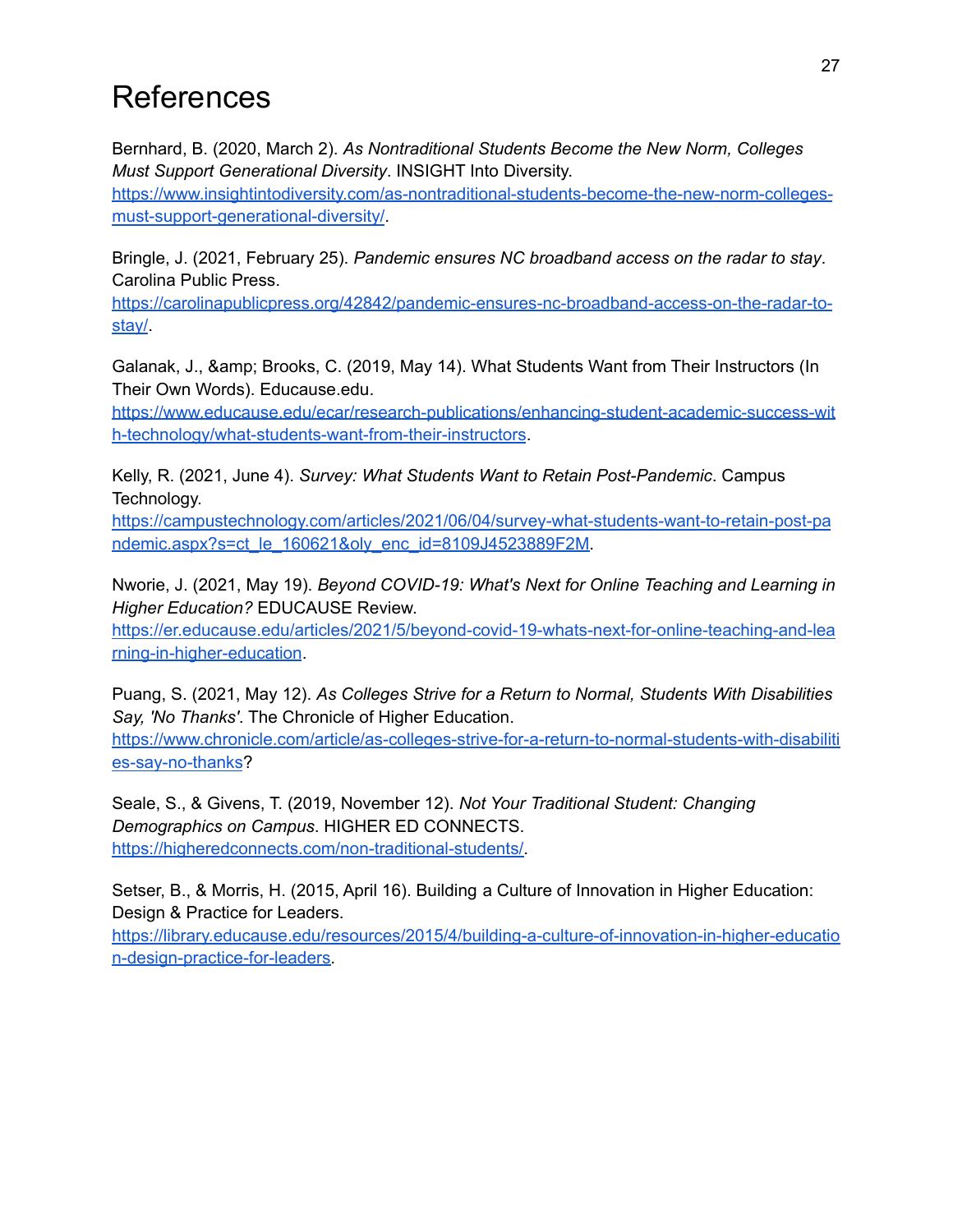# References

Bernhard, B. (2020, March 2). *As Nontraditional Students Become the New Norm, Colleges Must Support Generational Diversity*. INSIGHT Into Diversity.

[https://www.insightintodiversity.com/as-nontraditional-students-become-the-new-norm-colleges](https://www.insightintodiversity.com/as-nontraditional-students-become-the-new-norm-colleges-must-support-generational-diversity/)[must-support-generational-diversity/](https://www.insightintodiversity.com/as-nontraditional-students-become-the-new-norm-colleges-must-support-generational-diversity/).

Bringle, J. (2021, February 25). *Pandemic ensures NC broadband access on the radar to stay*. Carolina Public Press.

[https://carolinapublicpress.org/42842/pandemic-ensures-nc-broadband-access-on-the-radar-to](https://carolinapublicpress.org/42842/pandemic-ensures-nc-broadband-access-on-the-radar-to-stay/)[stay/](https://carolinapublicpress.org/42842/pandemic-ensures-nc-broadband-access-on-the-radar-to-stay/).

Galanak, J., & amp; Brooks, C. (2019, May 14). What Students Want from Their Instructors (In Their Own Words). Educause.edu.

[https://www.educause.edu/ecar/research-publications/enhancing-student-academic-success-wit](https://www.educause.edu/ecar/research-publications/enhancing-student-academic-success-with-technology/what-students-want-from-their-instructors) [h-technology/what-students-want-from-their-instructors](https://www.educause.edu/ecar/research-publications/enhancing-student-academic-success-with-technology/what-students-want-from-their-instructors).

Kelly, R. (2021, June 4). *Survey: What Students Want to Retain Post-Pandemic*. Campus Technology.

[https://campustechnology.com/articles/2021/06/04/survey-what-students-want-to-retain-post-pa](https://campustechnology.com/articles/2021/06/04/survey-what-students-want-to-retain-post-pandemic.aspx?s=ct_le_160621&oly_enc_id=8109J4523889F2M) [ndemic.aspx?s=ct\\_le\\_160621&oly\\_enc\\_id=8109J4523889F2M.](https://campustechnology.com/articles/2021/06/04/survey-what-students-want-to-retain-post-pandemic.aspx?s=ct_le_160621&oly_enc_id=8109J4523889F2M)

Nworie, J. (2021, May 19). *Beyond COVID-19: What's Next for Online Teaching and Learning in Higher Education?* EDUCAUSE Review.

[https://er.educause.edu/articles/2021/5/beyond-covid-19-whats-next-for-online-teaching-and-lea](https://er.educause.edu/articles/2021/5/beyond-covid-19-whats-next-for-online-teaching-and-learning-in-higher-education) [rning-in-higher-education](https://er.educause.edu/articles/2021/5/beyond-covid-19-whats-next-for-online-teaching-and-learning-in-higher-education).

Puang, S. (2021, May 12). *As Colleges Strive for a Return to Normal, Students With Disabilities Say, 'No Thanks'*. The Chronicle of Higher Education.

[https://www.chronicle.com/article/as-colleges-strive-for-a-return-to-normal-students-with-disabiliti](https://www.chronicle.com/article/as-colleges-strive-for-a-return-to-normal-students-with-disabilities-say-no-thanks) [es-say-no-thanks](https://www.chronicle.com/article/as-colleges-strive-for-a-return-to-normal-students-with-disabilities-say-no-thanks)?

Seale, S., & Givens, T. (2019, November 12). *Not Your Traditional Student: Changing Demographics on Campus*. HIGHER ED CONNECTS. [https://higheredconnects.com/non-traditional-students/.](https://higheredconnects.com/non-traditional-students/)

Setser, B., & Morris, H. (2015, April 16). Building a Culture of Innovation in Higher Education: Design & Practice for Leaders.

[https://library.educause.edu/resources/2015/4/building-a-culture-of-innovation-in-higher-educatio](https://library.educause.edu/resources/2015/4/building-a-culture-of-innovation-in-higher-education-design-practice-for-leaders) [n-design-practice-for-leaders.](https://library.educause.edu/resources/2015/4/building-a-culture-of-innovation-in-higher-education-design-practice-for-leaders)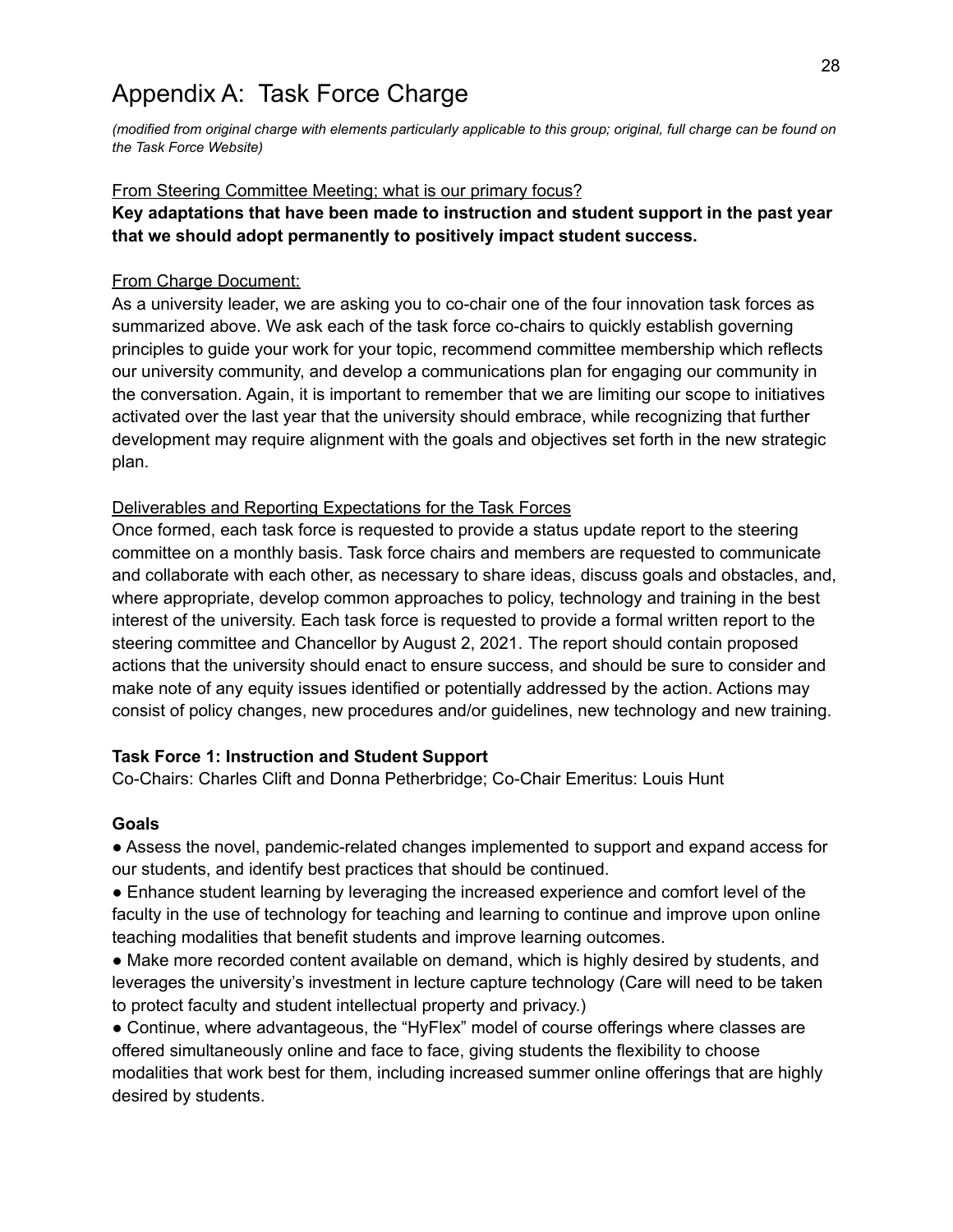## Appendix A: Task Force Charge

*(modified from original charge with elements particularly applicable to this group; original, full charge can be found on the Task Force Website)*

#### From Steering Committee Meeting; what is our primary focus?

#### **Key adaptations that have been made to instruction and student support in the past year that we should adopt permanently to positively impact student success.**

#### From Charge Document:

As a university leader, we are asking you to co-chair one of the four innovation task forces as summarized above. We ask each of the task force co-chairs to quickly establish governing principles to guide your work for your topic, recommend committee membership which reflects our university community, and develop a communications plan for engaging our community in the conversation. Again, it is important to remember that we are limiting our scope to initiatives activated over the last year that the university should embrace, while recognizing that further development may require alignment with the goals and objectives set forth in the new strategic plan.

#### Deliverables and Reporting Expectations for the Task Forces

Once formed, each task force is requested to provide a status update report to the steering committee on a monthly basis. Task force chairs and members are requested to communicate and collaborate with each other, as necessary to share ideas, discuss goals and obstacles, and, where appropriate, develop common approaches to policy, technology and training in the best interest of the university. Each task force is requested to provide a formal written report to the steering committee and Chancellor by August 2, 2021. The report should contain proposed actions that the university should enact to ensure success, and should be sure to consider and make note of any equity issues identified or potentially addressed by the action. Actions may consist of policy changes, new procedures and/or guidelines, new technology and new training.

#### **Task Force 1: Instruction and Student Support**

Co-Chairs: Charles Clift and Donna Petherbridge; Co-Chair Emeritus: Louis Hunt

#### **Goals**

● Assess the novel, pandemic-related changes implemented to support and expand access for our students, and identify best practices that should be continued.

● Enhance student learning by leveraging the increased experience and comfort level of the faculty in the use of technology for teaching and learning to continue and improve upon online teaching modalities that benefit students and improve learning outcomes.

● Make more recorded content available on demand, which is highly desired by students, and leverages the university's investment in lecture capture technology (Care will need to be taken to protect faculty and student intellectual property and privacy.)

● Continue, where advantageous, the "HyFlex" model of course offerings where classes are offered simultaneously online and face to face, giving students the flexibility to choose modalities that work best for them, including increased summer online offerings that are highly desired by students.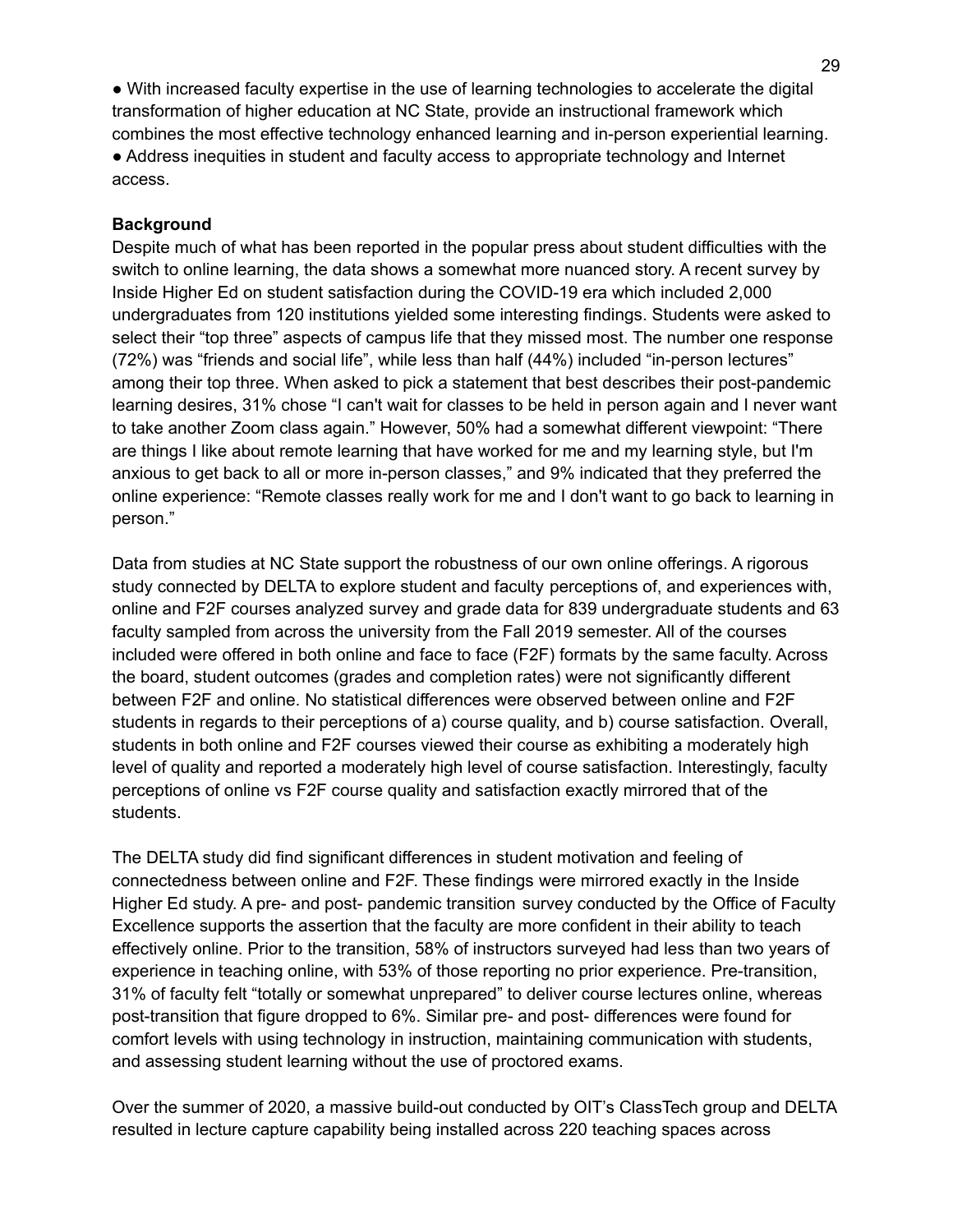● With increased faculty expertise in the use of learning technologies to accelerate the digital transformation of higher education at NC State, provide an instructional framework which combines the most effective technology enhanced learning and in-person experiential learning. ● Address inequities in student and faculty access to appropriate technology and Internet access.

#### **Background**

Despite much of what has been reported in the popular press about student difficulties with the switch to online learning, the data shows a somewhat more nuanced story. A recent survey by Inside Higher Ed on student satisfaction during the COVID-19 era which included 2,000 undergraduates from 120 institutions yielded some interesting findings. Students were asked to select their "top three" aspects of campus life that they missed most. The number one response (72%) was "friends and social life", while less than half (44%) included "in-person lectures" among their top three. When asked to pick a statement that best describes their post-pandemic learning desires, 31% chose "I can't wait for classes to be held in person again and I never want to take another Zoom class again." However, 50% had a somewhat different viewpoint: "There are things I like about remote learning that have worked for me and my learning style, but I'm anxious to get back to all or more in-person classes," and 9% indicated that they preferred the online experience: "Remote classes really work for me and I don't want to go back to learning in person."

Data from studies at NC State support the robustness of our own online offerings. A rigorous study connected by DELTA to explore student and faculty perceptions of, and experiences with, online and F2F courses analyzed survey and grade data for 839 undergraduate students and 63 faculty sampled from across the university from the Fall 2019 semester. All of the courses included were offered in both online and face to face (F2F) formats by the same faculty. Across the board, student outcomes (grades and completion rates) were not significantly different between F2F and online. No statistical differences were observed between online and F2F students in regards to their perceptions of a) course quality, and b) course satisfaction. Overall, students in both online and F2F courses viewed their course as exhibiting a moderately high level of quality and reported a moderately high level of course satisfaction. Interestingly, faculty perceptions of online vs F2F course quality and satisfaction exactly mirrored that of the students.

The DELTA study did find significant differences in student motivation and feeling of connectedness between online and F2F. These findings were mirrored exactly in the Inside Higher Ed study. A pre- and post- pandemic transition survey conducted by the Office of Faculty Excellence supports the assertion that the faculty are more confident in their ability to teach effectively online. Prior to the transition, 58% of instructors surveyed had less than two years of experience in teaching online, with 53% of those reporting no prior experience. Pre-transition, 31% of faculty felt "totally or somewhat unprepared" to deliver course lectures online, whereas post-transition that figure dropped to 6%. Similar pre- and post- differences were found for comfort levels with using technology in instruction, maintaining communication with students, and assessing student learning without the use of proctored exams.

Over the summer of 2020, a massive build-out conducted by OIT's ClassTech group and DELTA resulted in lecture capture capability being installed across 220 teaching spaces across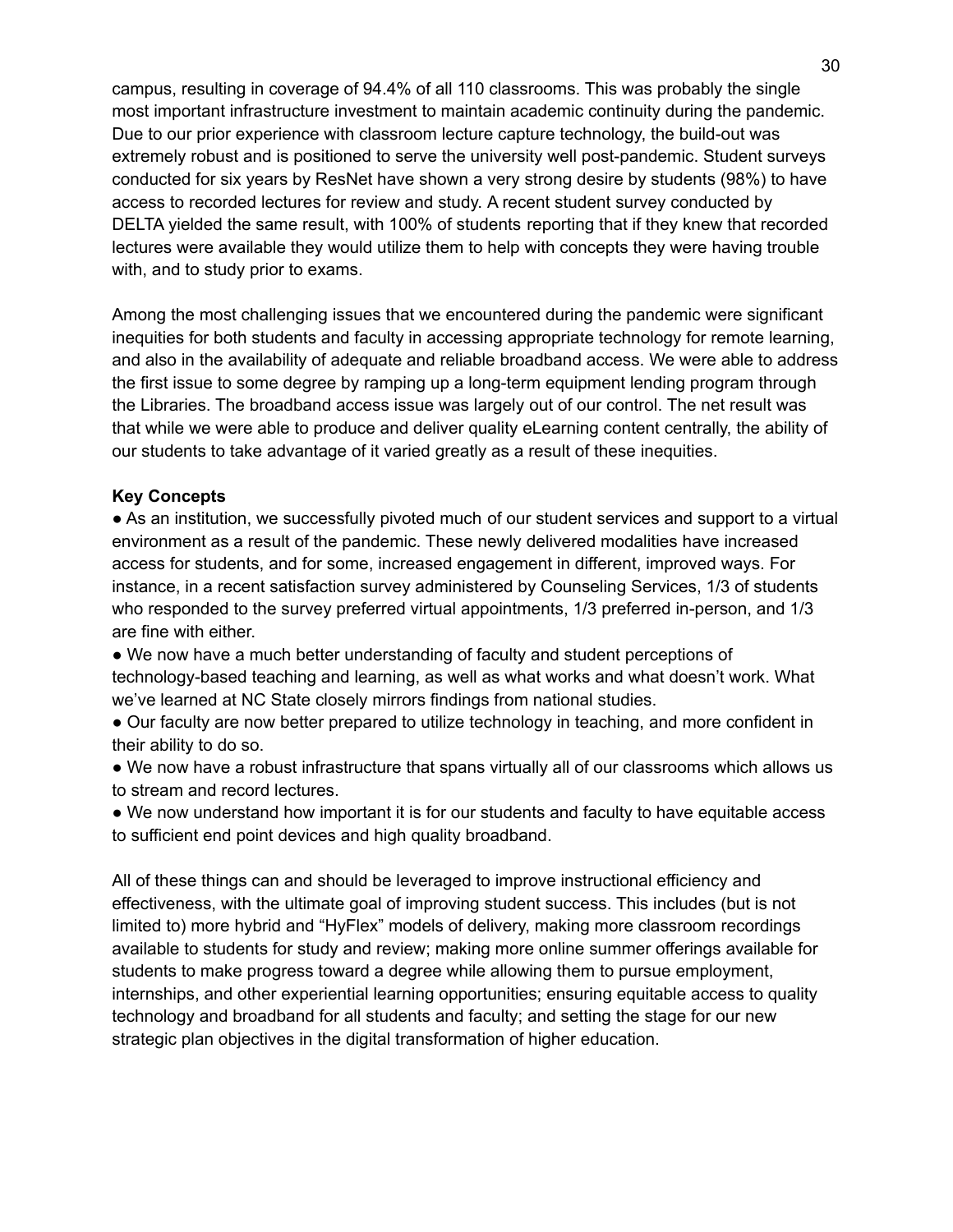campus, resulting in coverage of 94.4% of all 110 classrooms. This was probably the single most important infrastructure investment to maintain academic continuity during the pandemic. Due to our prior experience with classroom lecture capture technology, the build-out was extremely robust and is positioned to serve the university well post-pandemic. Student surveys conducted for six years by ResNet have shown a very strong desire by students (98%) to have access to recorded lectures for review and study. A recent student survey conducted by DELTA yielded the same result, with 100% of students reporting that if they knew that recorded lectures were available they would utilize them to help with concepts they were having trouble with, and to study prior to exams.

Among the most challenging issues that we encountered during the pandemic were significant inequities for both students and faculty in accessing appropriate technology for remote learning, and also in the availability of adequate and reliable broadband access. We were able to address the first issue to some degree by ramping up a long-term equipment lending program through the Libraries. The broadband access issue was largely out of our control. The net result was that while we were able to produce and deliver quality eLearning content centrally, the ability of our students to take advantage of it varied greatly as a result of these inequities.

#### **Key Concepts**

• As an institution, we successfully pivoted much of our student services and support to a virtual environment as a result of the pandemic. These newly delivered modalities have increased access for students, and for some, increased engagement in different, improved ways. For instance, in a recent satisfaction survey administered by Counseling Services, 1/3 of students who responded to the survey preferred virtual appointments, 1/3 preferred in-person, and 1/3 are fine with either.

• We now have a much better understanding of faculty and student perceptions of technology-based teaching and learning, as well as what works and what doesn't work. What we've learned at NC State closely mirrors findings from national studies.

● Our faculty are now better prepared to utilize technology in teaching, and more confident in their ability to do so.

• We now have a robust infrastructure that spans virtually all of our classrooms which allows us to stream and record lectures.

• We now understand how important it is for our students and faculty to have equitable access to sufficient end point devices and high quality broadband.

All of these things can and should be leveraged to improve instructional efficiency and effectiveness, with the ultimate goal of improving student success. This includes (but is not limited to) more hybrid and "HyFlex" models of delivery, making more classroom recordings available to students for study and review; making more online summer offerings available for students to make progress toward a degree while allowing them to pursue employment, internships, and other experiential learning opportunities; ensuring equitable access to quality technology and broadband for all students and faculty; and setting the stage for our new strategic plan objectives in the digital transformation of higher education.